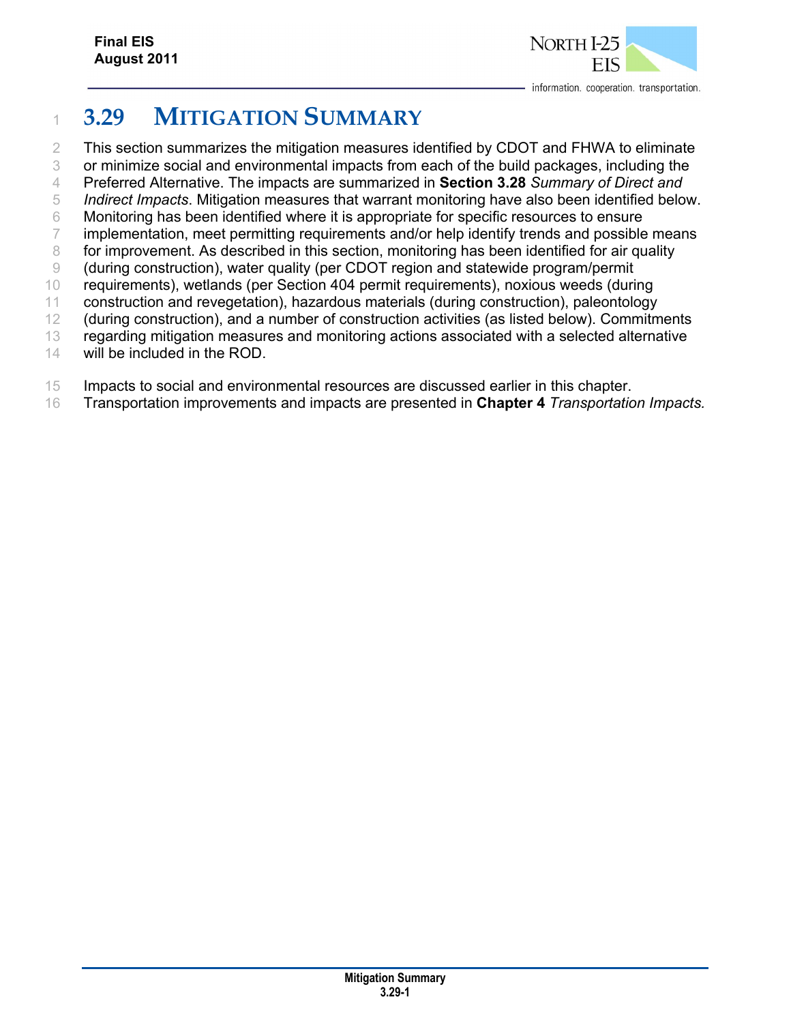

# <sup>1</sup>**3.29 MITIGATION SUMMARY**

2 This section summarizes the mitigation measures identified by CDOT and FHWA to eliminate 3 or minimize social and environmental impacts from each of the build packages, including the

- 4 Preferred Alternative. The impacts are summarized in **Section 3.28** *Summary of Direct and*  5 *Indirect Impacts*. Mitigation measures that warrant monitoring have also been identified below.
- 6 Monitoring has been identified where it is appropriate for specific resources to ensure
- 7 implementation, meet permitting requirements and/or help identify trends and possible means
- 8 for improvement. As described in this section, monitoring has been identified for air quality
- 9 (during construction), water quality (per CDOT region and statewide program/permit
- 10 requirements), wetlands (per Section 404 permit requirements), noxious weeds (during
- 11 construction and revegetation), hazardous materials (during construction), paleontology
- 12 (during construction), and a number of construction activities (as listed below). Commitments
- 13 regarding mitigation measures and monitoring actions associated with a selected alternative
- 14 will be included in the ROD.
- 15 Impacts to social and environmental resources are discussed earlier in this chapter.
- 16 Transportation improvements and impacts are presented in **Chapter 4** *Transportation Impacts.*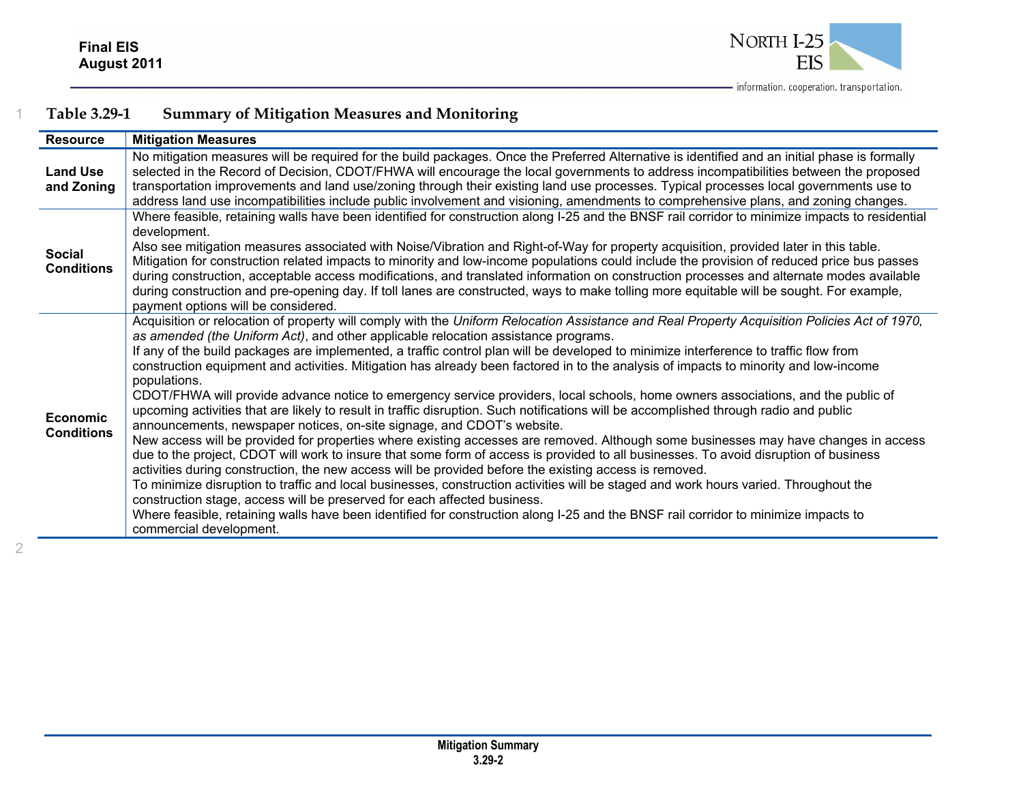

| <b>Resource</b>                      | <b>Mitigation Measures</b>                                                                                                                                                                                                                                                                                                                                                                                                                                                                                                                                                                                                                                                                                                                                                                                                                                                                                                                                                                                                                                                                                                                                                                                                                                                                                                                                                                                                                                                                                                                                                                                                                                              |
|--------------------------------------|-------------------------------------------------------------------------------------------------------------------------------------------------------------------------------------------------------------------------------------------------------------------------------------------------------------------------------------------------------------------------------------------------------------------------------------------------------------------------------------------------------------------------------------------------------------------------------------------------------------------------------------------------------------------------------------------------------------------------------------------------------------------------------------------------------------------------------------------------------------------------------------------------------------------------------------------------------------------------------------------------------------------------------------------------------------------------------------------------------------------------------------------------------------------------------------------------------------------------------------------------------------------------------------------------------------------------------------------------------------------------------------------------------------------------------------------------------------------------------------------------------------------------------------------------------------------------------------------------------------------------------------------------------------------------|
| <b>Land Use</b><br>and Zoning        | No mitigation measures will be required for the build packages. Once the Preferred Alternative is identified and an initial phase is formally<br>selected in the Record of Decision, CDOT/FHWA will encourage the local governments to address incompatibilities between the proposed<br>transportation improvements and land use/zoning through their existing land use processes. Typical processes local governments use to<br>address land use incompatibilities include public involvement and visioning, amendments to comprehensive plans, and zoning changes.                                                                                                                                                                                                                                                                                                                                                                                                                                                                                                                                                                                                                                                                                                                                                                                                                                                                                                                                                                                                                                                                                                   |
| <b>Social</b><br><b>Conditions</b>   | Where feasible, retaining walls have been identified for construction along I-25 and the BNSF rail corridor to minimize impacts to residential<br>development.<br>Also see mitigation measures associated with Noise/Vibration and Right-of-Way for property acquisition, provided later in this table.<br>Mitigation for construction related impacts to minority and low-income populations could include the provision of reduced price bus passes<br>during construction, acceptable access modifications, and translated information on construction processes and alternate modes available<br>during construction and pre-opening day. If toll lanes are constructed, ways to make tolling more equitable will be sought. For example,<br>payment options will be considered.                                                                                                                                                                                                                                                                                                                                                                                                                                                                                                                                                                                                                                                                                                                                                                                                                                                                                    |
| <b>Economic</b><br><b>Conditions</b> | Acquisition or relocation of property will comply with the Uniform Relocation Assistance and Real Property Acquisition Policies Act of 1970,<br>as amended (the Uniform Act), and other applicable relocation assistance programs.<br>If any of the build packages are implemented, a traffic control plan will be developed to minimize interference to traffic flow from<br>construction equipment and activities. Mitigation has already been factored in to the analysis of impacts to minority and low-income<br>populations.<br>CDOT/FHWA will provide advance notice to emergency service providers, local schools, home owners associations, and the public of<br>upcoming activities that are likely to result in traffic disruption. Such notifications will be accomplished through radio and public<br>announcements, newspaper notices, on-site signage, and CDOT's website.<br>New access will be provided for properties where existing accesses are removed. Although some businesses may have changes in access<br>due to the project, CDOT will work to insure that some form of access is provided to all businesses. To avoid disruption of business<br>activities during construction, the new access will be provided before the existing access is removed.<br>To minimize disruption to traffic and local businesses, construction activities will be staged and work hours varied. Throughout the<br>construction stage, access will be preserved for each affected business.<br>Where feasible, retaining walls have been identified for construction along I-25 and the BNSF rail corridor to minimize impacts to<br>commercial development. |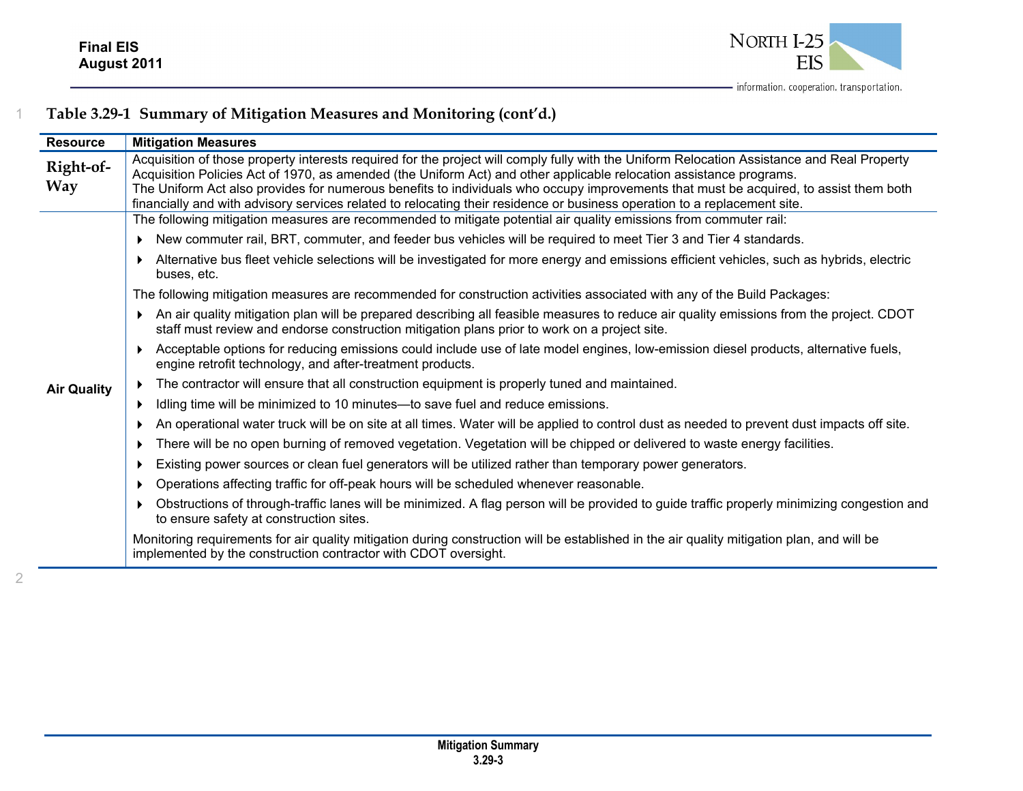

**Resource Mitigation Measures Right-of-**Right-of-<br>
Acquisition of those property interests required for the project will comply fully with the Uniform Relocation Assistance and Real Property<br>
Acquisition Policies Act of 1970, as amended (the Uniform Act) and oth financially and with advisory services related to relocating their residence or business operation to a replacement site. **Air Quality**  The following mitigation measures are recommended to mitigate potential air quality emissions from commuter rail: New commuter rail, BRT, commuter, and feeder bus vehicles will be required to meet Tier 3 and Tier 4 standards. Alternative bus fleet vehicle selections will be investigated for more energy and emissions efficient vehicles, such as hybrids, electric buses, etc. The following mitigation measures are recommended for construction activities associated with any of the Build Packages: An air quality mitigation plan will be prepared describing all feasible measures to reduce air quality emissions from the project. CDOT staff must review and endorse construction mitigation plans prior to work on a project site. Acceptable options for reducing emissions could include use of late model engines, low-emission diesel products, alternative fuels, engine retrofit technology, and after-treatment products. ▶ The contractor will ensure that all construction equipment is properly tuned and maintained. ▶ Idling time will be minimized to 10 minutes—to save fuel and reduce emissions. An operational water truck will be on site at all times. Water will be applied to control dust as needed to prevent dust impacts off site.  $\blacktriangleright$  There will be no open burning of removed vegetation. Vegetation will be chipped or delivered to waste energy facilities.  $\blacktriangleright$  Existing power sources or clean fuel generators will be utilized rather than temporary power generators. Operations affecting traffic for off-peak hours will be scheduled whenever reasonable. Obstructions of through-traffic lanes will be minimized. A flag person will be provided to guide traffic properly minimizing congestion and to ensure safety at construction sites. Monitoring requirements for air quality mitigation during construction will be established in the air quality mitigation plan, and will be implemented by the construction contractor with CDOT oversight.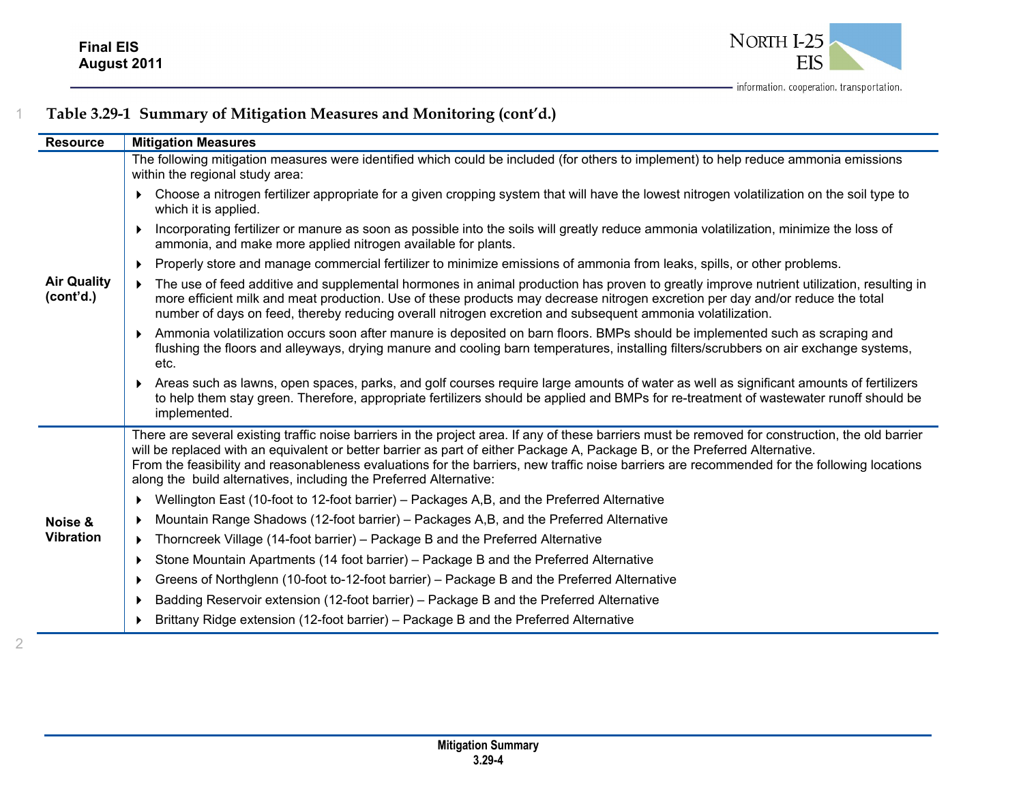

| <b>Resource</b>                 | <b>Mitigation Measures</b>                                                                                                                                                                                                                                                                                                                                                                                                                                                                             |
|---------------------------------|--------------------------------------------------------------------------------------------------------------------------------------------------------------------------------------------------------------------------------------------------------------------------------------------------------------------------------------------------------------------------------------------------------------------------------------------------------------------------------------------------------|
|                                 | The following mitigation measures were identified which could be included (for others to implement) to help reduce ammonia emissions<br>within the regional study area:                                                                                                                                                                                                                                                                                                                                |
|                                 | Choose a nitrogen fertilizer appropriate for a given cropping system that will have the lowest nitrogen volatilization on the soil type to<br>which it is applied.                                                                                                                                                                                                                                                                                                                                     |
|                                 | Incorporating fertilizer or manure as soon as possible into the soils will greatly reduce ammonia volatilization, minimize the loss of<br>ammonia, and make more applied nitrogen available for plants.                                                                                                                                                                                                                                                                                                |
|                                 | Properly store and manage commercial fertilizer to minimize emissions of ammonia from leaks, spills, or other problems.<br>▶                                                                                                                                                                                                                                                                                                                                                                           |
| <b>Air Quality</b><br>(cont'd.) | The use of feed additive and supplemental hormones in animal production has proven to greatly improve nutrient utilization, resulting in<br>$\blacktriangleright$<br>more efficient milk and meat production. Use of these products may decrease nitrogen excretion per day and/or reduce the total<br>number of days on feed, thereby reducing overall nitrogen excretion and subsequent ammonia volatilization.                                                                                      |
|                                 | Ammonia volatilization occurs soon after manure is deposited on barn floors. BMPs should be implemented such as scraping and<br>flushing the floors and alleyways, drying manure and cooling barn temperatures, installing filters/scrubbers on air exchange systems,<br>etc.                                                                                                                                                                                                                          |
|                                 | Areas such as lawns, open spaces, parks, and golf courses require large amounts of water as well as significant amounts of fertilizers<br>to help them stay green. Therefore, appropriate fertilizers should be applied and BMPs for re-treatment of wastewater runoff should be<br>implemented.                                                                                                                                                                                                       |
|                                 | There are several existing traffic noise barriers in the project area. If any of these barriers must be removed for construction, the old barrier<br>will be replaced with an equivalent or better barrier as part of either Package A, Package B, or the Preferred Alternative.<br>From the feasibility and reasonableness evaluations for the barriers, new traffic noise barriers are recommended for the following locations<br>along the build alternatives, including the Preferred Alternative: |
|                                 | Wellington East (10-foot to 12-foot barrier) – Packages A,B, and the Preferred Alternative                                                                                                                                                                                                                                                                                                                                                                                                             |
| Noise &                         | Mountain Range Shadows (12-foot barrier) – Packages A,B, and the Preferred Alternative                                                                                                                                                                                                                                                                                                                                                                                                                 |
| <b>Vibration</b>                | Thorncreek Village (14-foot barrier) – Package B and the Preferred Alternative<br>▶                                                                                                                                                                                                                                                                                                                                                                                                                    |
|                                 | Stone Mountain Apartments (14 foot barrier) – Package B and the Preferred Alternative<br>$\blacktriangleright$                                                                                                                                                                                                                                                                                                                                                                                         |
|                                 | Greens of Northglenn (10-foot to-12-foot barrier) – Package B and the Preferred Alternative<br>▶                                                                                                                                                                                                                                                                                                                                                                                                       |
|                                 | Badding Reservoir extension (12-foot barrier) - Package B and the Preferred Alternative<br>▶                                                                                                                                                                                                                                                                                                                                                                                                           |
|                                 | Brittany Ridge extension (12-foot barrier) - Package B and the Preferred Alternative                                                                                                                                                                                                                                                                                                                                                                                                                   |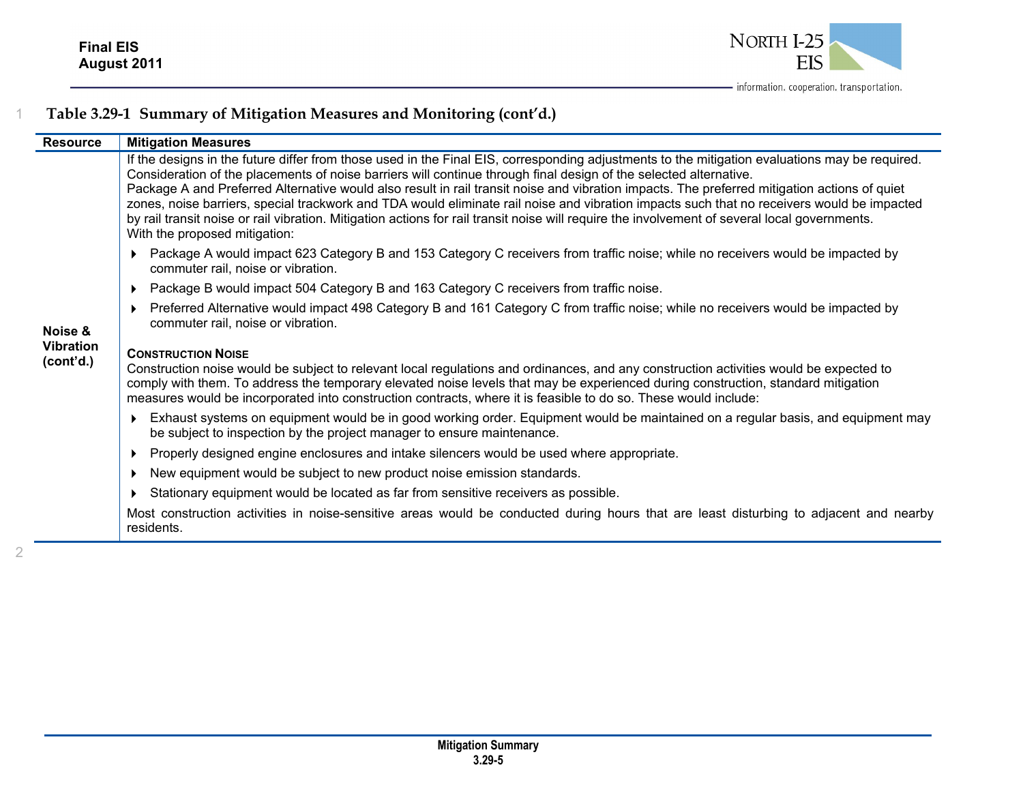

| <b>Resource</b>                          | <b>Mitigation Measures</b>                                                                                                                                                                                                                                                                                                                                                                                                                                                                                                                                                                                                                                                                                                                          |
|------------------------------------------|-----------------------------------------------------------------------------------------------------------------------------------------------------------------------------------------------------------------------------------------------------------------------------------------------------------------------------------------------------------------------------------------------------------------------------------------------------------------------------------------------------------------------------------------------------------------------------------------------------------------------------------------------------------------------------------------------------------------------------------------------------|
| Noise &<br><b>Vibration</b><br>(cont'd.) | If the designs in the future differ from those used in the Final EIS, corresponding adjustments to the mitigation evaluations may be required.<br>Consideration of the placements of noise barriers will continue through final design of the selected alternative.<br>Package A and Preferred Alternative would also result in rail transit noise and vibration impacts. The preferred mitigation actions of quiet<br>zones, noise barriers, special trackwork and TDA would eliminate rail noise and vibration impacts such that no receivers would be impacted<br>by rail transit noise or rail vibration. Mitigation actions for rail transit noise will require the involvement of several local governments.<br>With the proposed mitigation: |
|                                          | Package A would impact 623 Category B and 153 Category C receivers from traffic noise; while no receivers would be impacted by<br>commuter rail, noise or vibration.                                                                                                                                                                                                                                                                                                                                                                                                                                                                                                                                                                                |
|                                          | Package B would impact 504 Category B and 163 Category C receivers from traffic noise.                                                                                                                                                                                                                                                                                                                                                                                                                                                                                                                                                                                                                                                              |
|                                          | Preferred Alternative would impact 498 Category B and 161 Category C from traffic noise; while no receivers would be impacted by<br>commuter rail, noise or vibration.                                                                                                                                                                                                                                                                                                                                                                                                                                                                                                                                                                              |
|                                          | <b>CONSTRUCTION NOISE</b><br>Construction noise would be subject to relevant local regulations and ordinances, and any construction activities would be expected to<br>comply with them. To address the temporary elevated noise levels that may be experienced during construction, standard mitigation<br>measures would be incorporated into construction contracts, where it is feasible to do so. These would include:                                                                                                                                                                                                                                                                                                                         |
|                                          | Exhaust systems on equipment would be in good working order. Equipment would be maintained on a regular basis, and equipment may<br>be subject to inspection by the project manager to ensure maintenance.                                                                                                                                                                                                                                                                                                                                                                                                                                                                                                                                          |
|                                          | Properly designed engine enclosures and intake silencers would be used where appropriate.                                                                                                                                                                                                                                                                                                                                                                                                                                                                                                                                                                                                                                                           |
|                                          | New equipment would be subject to new product noise emission standards.                                                                                                                                                                                                                                                                                                                                                                                                                                                                                                                                                                                                                                                                             |
|                                          | Stationary equipment would be located as far from sensitive receivers as possible.                                                                                                                                                                                                                                                                                                                                                                                                                                                                                                                                                                                                                                                                  |
|                                          | Most construction activities in noise-sensitive areas would be conducted during hours that are least disturbing to adjacent and nearby<br>residents.                                                                                                                                                                                                                                                                                                                                                                                                                                                                                                                                                                                                |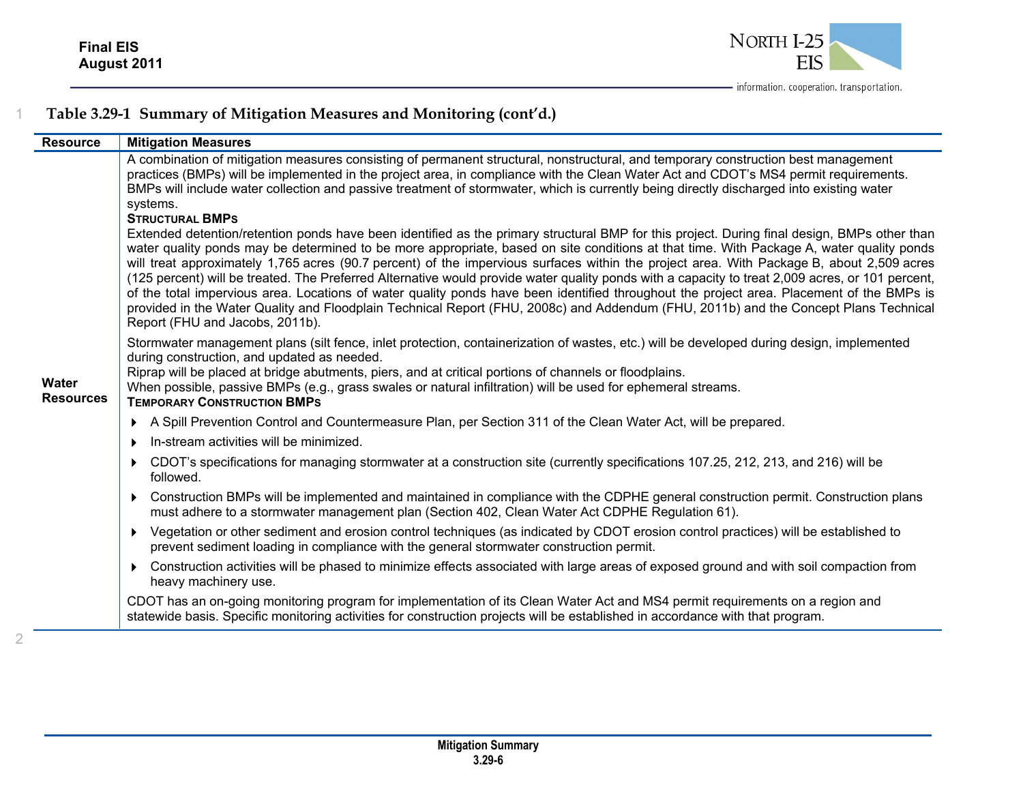

| <b>Resource</b>           | <b>Mitigation Measures</b>                                                                                                                                                                                                                                                                                                                                                                                                                                                                                                                                                                                                                                                                                                                                                                                                                                                                                                                                                                                                                                                                                                                                                                                                                                                                                                                                                        |
|---------------------------|-----------------------------------------------------------------------------------------------------------------------------------------------------------------------------------------------------------------------------------------------------------------------------------------------------------------------------------------------------------------------------------------------------------------------------------------------------------------------------------------------------------------------------------------------------------------------------------------------------------------------------------------------------------------------------------------------------------------------------------------------------------------------------------------------------------------------------------------------------------------------------------------------------------------------------------------------------------------------------------------------------------------------------------------------------------------------------------------------------------------------------------------------------------------------------------------------------------------------------------------------------------------------------------------------------------------------------------------------------------------------------------|
| Water<br><b>Resources</b> | A combination of mitigation measures consisting of permanent structural, nonstructural, and temporary construction best management<br>practices (BMPs) will be implemented in the project area, in compliance with the Clean Water Act and CDOT's MS4 permit requirements.<br>BMPs will include water collection and passive treatment of stormwater, which is currently being directly discharged into existing water<br>systems.<br><b>STRUCTURAL BMPS</b><br>Extended detention/retention ponds have been identified as the primary structural BMP for this project. During final design, BMPs other than<br>water quality ponds may be determined to be more appropriate, based on site conditions at that time. With Package A, water quality ponds<br>will treat approximately 1,765 acres (90.7 percent) of the impervious surfaces within the project area. With Package B, about 2,509 acres<br>(125 percent) will be treated. The Preferred Alternative would provide water quality ponds with a capacity to treat 2,009 acres, or 101 percent,<br>of the total impervious area. Locations of water quality ponds have been identified throughout the project area. Placement of the BMPs is<br>provided in the Water Quality and Floodplain Technical Report (FHU, 2008c) and Addendum (FHU, 2011b) and the Concept Plans Technical<br>Report (FHU and Jacobs, 2011b). |
|                           | Stormwater management plans (silt fence, inlet protection, containerization of wastes, etc.) will be developed during design, implemented<br>during construction, and updated as needed.<br>Riprap will be placed at bridge abutments, piers, and at critical portions of channels or floodplains.<br>When possible, passive BMPs (e.g., grass swales or natural infiltration) will be used for ephemeral streams.<br><b>TEMPORARY CONSTRUCTION BMPS</b>                                                                                                                                                                                                                                                                                                                                                                                                                                                                                                                                                                                                                                                                                                                                                                                                                                                                                                                          |
|                           | A Spill Prevention Control and Countermeasure Plan, per Section 311 of the Clean Water Act, will be prepared.<br>Þ.                                                                                                                                                                                                                                                                                                                                                                                                                                                                                                                                                                                                                                                                                                                                                                                                                                                                                                                                                                                                                                                                                                                                                                                                                                                               |
|                           | In-stream activities will be minimized.<br>▶                                                                                                                                                                                                                                                                                                                                                                                                                                                                                                                                                                                                                                                                                                                                                                                                                                                                                                                                                                                                                                                                                                                                                                                                                                                                                                                                      |
|                           | CDOT's specifications for managing stormwater at a construction site (currently specifications 107.25, 212, 213, and 216) will be<br>▶<br>followed.                                                                                                                                                                                                                                                                                                                                                                                                                                                                                                                                                                                                                                                                                                                                                                                                                                                                                                                                                                                                                                                                                                                                                                                                                               |
|                           | Construction BMPs will be implemented and maintained in compliance with the CDPHE general construction permit. Construction plans<br>Þ.<br>must adhere to a stormwater management plan (Section 402, Clean Water Act CDPHE Regulation 61).                                                                                                                                                                                                                                                                                                                                                                                                                                                                                                                                                                                                                                                                                                                                                                                                                                                                                                                                                                                                                                                                                                                                        |
|                           | Vegetation or other sediment and erosion control techniques (as indicated by CDOT erosion control practices) will be established to<br>▶<br>prevent sediment loading in compliance with the general stormwater construction permit.                                                                                                                                                                                                                                                                                                                                                                                                                                                                                                                                                                                                                                                                                                                                                                                                                                                                                                                                                                                                                                                                                                                                               |
|                           | Construction activities will be phased to minimize effects associated with large areas of exposed ground and with soil compaction from<br>heavy machinery use.                                                                                                                                                                                                                                                                                                                                                                                                                                                                                                                                                                                                                                                                                                                                                                                                                                                                                                                                                                                                                                                                                                                                                                                                                    |
|                           | CDOT has an on-going monitoring program for implementation of its Clean Water Act and MS4 permit requirements on a region and<br>statewide basis. Specific monitoring activities for construction projects will be established in accordance with that program.                                                                                                                                                                                                                                                                                                                                                                                                                                                                                                                                                                                                                                                                                                                                                                                                                                                                                                                                                                                                                                                                                                                   |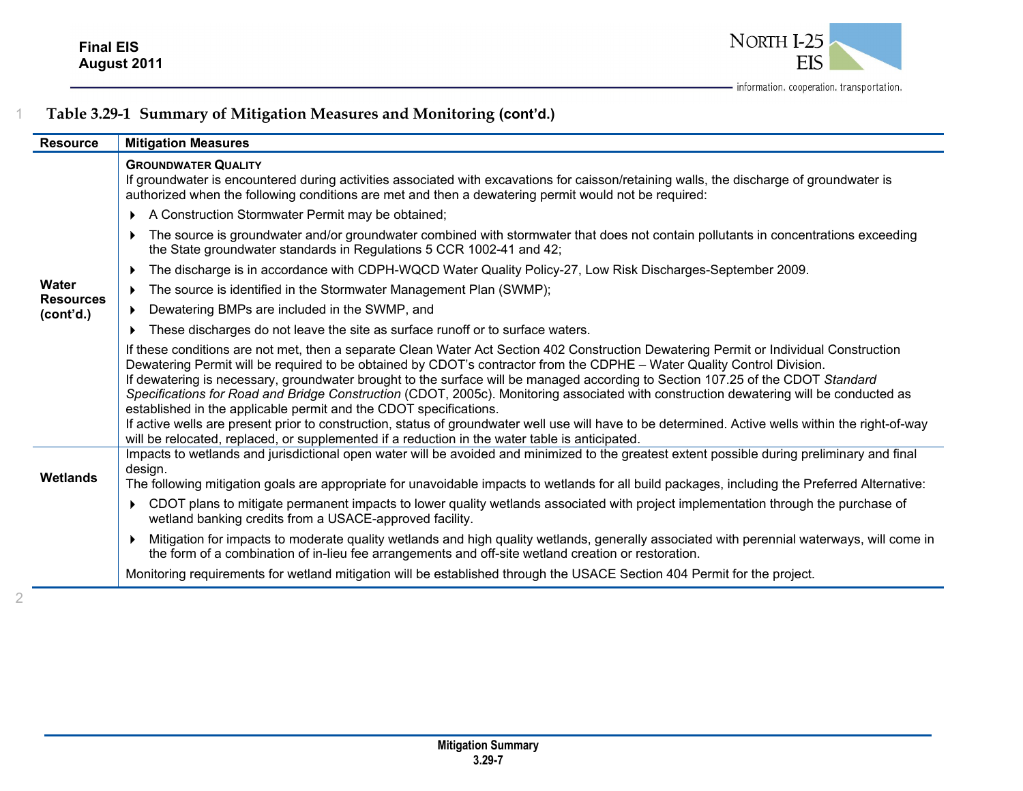

| <b>Resource</b>               | <b>Mitigation Measures</b>                                                                                                                                                                                                                                                                                                                                                                                                                                                                                                                                                                                                                                                                                                                                                                                                                                                  |
|-------------------------------|-----------------------------------------------------------------------------------------------------------------------------------------------------------------------------------------------------------------------------------------------------------------------------------------------------------------------------------------------------------------------------------------------------------------------------------------------------------------------------------------------------------------------------------------------------------------------------------------------------------------------------------------------------------------------------------------------------------------------------------------------------------------------------------------------------------------------------------------------------------------------------|
|                               | <b>GROUNDWATER QUALITY</b><br>If groundwater is encountered during activities associated with excavations for caisson/retaining walls, the discharge of groundwater is<br>authorized when the following conditions are met and then a dewatering permit would not be required:                                                                                                                                                                                                                                                                                                                                                                                                                                                                                                                                                                                              |
|                               | A Construction Stormwater Permit may be obtained;<br>Þ.                                                                                                                                                                                                                                                                                                                                                                                                                                                                                                                                                                                                                                                                                                                                                                                                                     |
|                               | The source is groundwater and/or groundwater combined with stormwater that does not contain pollutants in concentrations exceeding<br>the State groundwater standards in Regulations 5 CCR 1002-41 and 42;                                                                                                                                                                                                                                                                                                                                                                                                                                                                                                                                                                                                                                                                  |
|                               | The discharge is in accordance with CDPH-WQCD Water Quality Policy-27, Low Risk Discharges-September 2009.                                                                                                                                                                                                                                                                                                                                                                                                                                                                                                                                                                                                                                                                                                                                                                  |
| Water                         | The source is identified in the Stormwater Management Plan (SWMP);                                                                                                                                                                                                                                                                                                                                                                                                                                                                                                                                                                                                                                                                                                                                                                                                          |
| <b>Resources</b><br>(cont'd.) | Dewatering BMPs are included in the SWMP, and                                                                                                                                                                                                                                                                                                                                                                                                                                                                                                                                                                                                                                                                                                                                                                                                                               |
|                               | These discharges do not leave the site as surface runoff or to surface waters.                                                                                                                                                                                                                                                                                                                                                                                                                                                                                                                                                                                                                                                                                                                                                                                              |
|                               | If these conditions are not met, then a separate Clean Water Act Section 402 Construction Dewatering Permit or Individual Construction<br>Dewatering Permit will be required to be obtained by CDOT's contractor from the CDPHE - Water Quality Control Division.<br>If dewatering is necessary, groundwater brought to the surface will be managed according to Section 107.25 of the CDOT Standard<br>Specifications for Road and Bridge Construction (CDOT, 2005c). Monitoring associated with construction dewatering will be conducted as<br>established in the applicable permit and the CDOT specifications.<br>If active wells are present prior to construction, status of groundwater well use will have to be determined. Active wells within the right-of-way<br>will be relocated, replaced, or supplemented if a reduction in the water table is anticipated. |
| <b>Wetlands</b>               | Impacts to wetlands and jurisdictional open water will be avoided and minimized to the greatest extent possible during preliminary and final<br>design.<br>The following mitigation goals are appropriate for unavoidable impacts to wetlands for all build packages, including the Preferred Alternative:                                                                                                                                                                                                                                                                                                                                                                                                                                                                                                                                                                  |
|                               | CDOT plans to mitigate permanent impacts to lower quality wetlands associated with project implementation through the purchase of<br>wetland banking credits from a USACE-approved facility.                                                                                                                                                                                                                                                                                                                                                                                                                                                                                                                                                                                                                                                                                |
|                               | Mitigation for impacts to moderate quality wetlands and high quality wetlands, generally associated with perennial waterways, will come in<br>the form of a combination of in-lieu fee arrangements and off-site wetland creation or restoration.                                                                                                                                                                                                                                                                                                                                                                                                                                                                                                                                                                                                                           |
|                               | Monitoring requirements for wetland mitigation will be established through the USACE Section 404 Permit for the project.                                                                                                                                                                                                                                                                                                                                                                                                                                                                                                                                                                                                                                                                                                                                                    |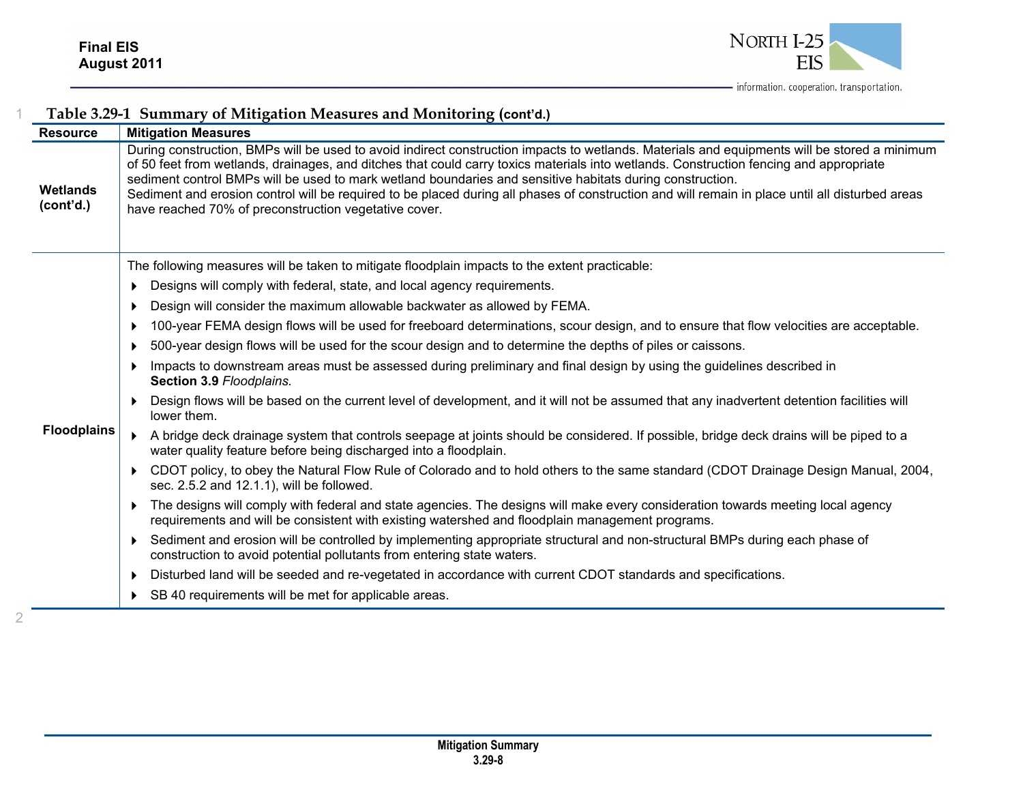

|                              | Table 3.29-1 Summary of Mitigation Measures and Monitoring (cont'd.)                                                                                                                                                                                                                                                                                                                                                                                                                                                                                                                                            |
|------------------------------|-----------------------------------------------------------------------------------------------------------------------------------------------------------------------------------------------------------------------------------------------------------------------------------------------------------------------------------------------------------------------------------------------------------------------------------------------------------------------------------------------------------------------------------------------------------------------------------------------------------------|
| <b>Resource</b>              | <b>Mitigation Measures</b>                                                                                                                                                                                                                                                                                                                                                                                                                                                                                                                                                                                      |
| <b>Wetlands</b><br>(cont'd.) | During construction, BMPs will be used to avoid indirect construction impacts to wetlands. Materials and equipments will be stored a minimum<br>of 50 feet from wetlands, drainages, and ditches that could carry toxics materials into wetlands. Construction fencing and appropriate<br>sediment control BMPs will be used to mark wetland boundaries and sensitive habitats during construction.<br>Sediment and erosion control will be required to be placed during all phases of construction and will remain in place until all disturbed areas<br>have reached 70% of preconstruction vegetative cover. |
|                              | The following measures will be taken to mitigate floodplain impacts to the extent practicable:                                                                                                                                                                                                                                                                                                                                                                                                                                                                                                                  |
|                              | Designs will comply with federal, state, and local agency requirements.<br>$\mathbf{r}$                                                                                                                                                                                                                                                                                                                                                                                                                                                                                                                         |
|                              | Design will consider the maximum allowable backwater as allowed by FEMA.<br>D                                                                                                                                                                                                                                                                                                                                                                                                                                                                                                                                   |
|                              | 100-year FEMA design flows will be used for freeboard determinations, scour design, and to ensure that flow velocities are acceptable.<br>$\ddot{\phantom{1}}$                                                                                                                                                                                                                                                                                                                                                                                                                                                  |
|                              | 500-year design flows will be used for the scour design and to determine the depths of piles or caissons.<br>$\mathbf{r}$                                                                                                                                                                                                                                                                                                                                                                                                                                                                                       |
|                              | Impacts to downstream areas must be assessed during preliminary and final design by using the guidelines described in<br>$\mathbf{r}$<br>Section 3.9 Floodplains.                                                                                                                                                                                                                                                                                                                                                                                                                                               |
|                              | Design flows will be based on the current level of development, and it will not be assumed that any inadvertent detention facilities will<br>lower them.                                                                                                                                                                                                                                                                                                                                                                                                                                                        |
| <b>Floodplains</b>           | A bridge deck drainage system that controls seepage at joints should be considered. If possible, bridge deck drains will be piped to a<br>water quality feature before being discharged into a floodplain.                                                                                                                                                                                                                                                                                                                                                                                                      |
|                              | CDOT policy, to obey the Natural Flow Rule of Colorado and to hold others to the same standard (CDOT Drainage Design Manual, 2004,<br>$\blacktriangleright$<br>sec. 2.5.2 and 12.1.1), will be followed.                                                                                                                                                                                                                                                                                                                                                                                                        |
|                              | The designs will comply with federal and state agencies. The designs will make every consideration towards meeting local agency<br>$\blacktriangleright$<br>requirements and will be consistent with existing watershed and floodplain management programs.                                                                                                                                                                                                                                                                                                                                                     |
|                              | Sediment and erosion will be controlled by implementing appropriate structural and non-structural BMPs during each phase of<br>▶<br>construction to avoid potential pollutants from entering state waters.                                                                                                                                                                                                                                                                                                                                                                                                      |
|                              | Disturbed land will be seeded and re-vegetated in accordance with current CDOT standards and specifications.<br>$\blacktriangleright$                                                                                                                                                                                                                                                                                                                                                                                                                                                                           |
|                              | SB 40 requirements will be met for applicable areas.<br>$\blacktriangleright$                                                                                                                                                                                                                                                                                                                                                                                                                                                                                                                                   |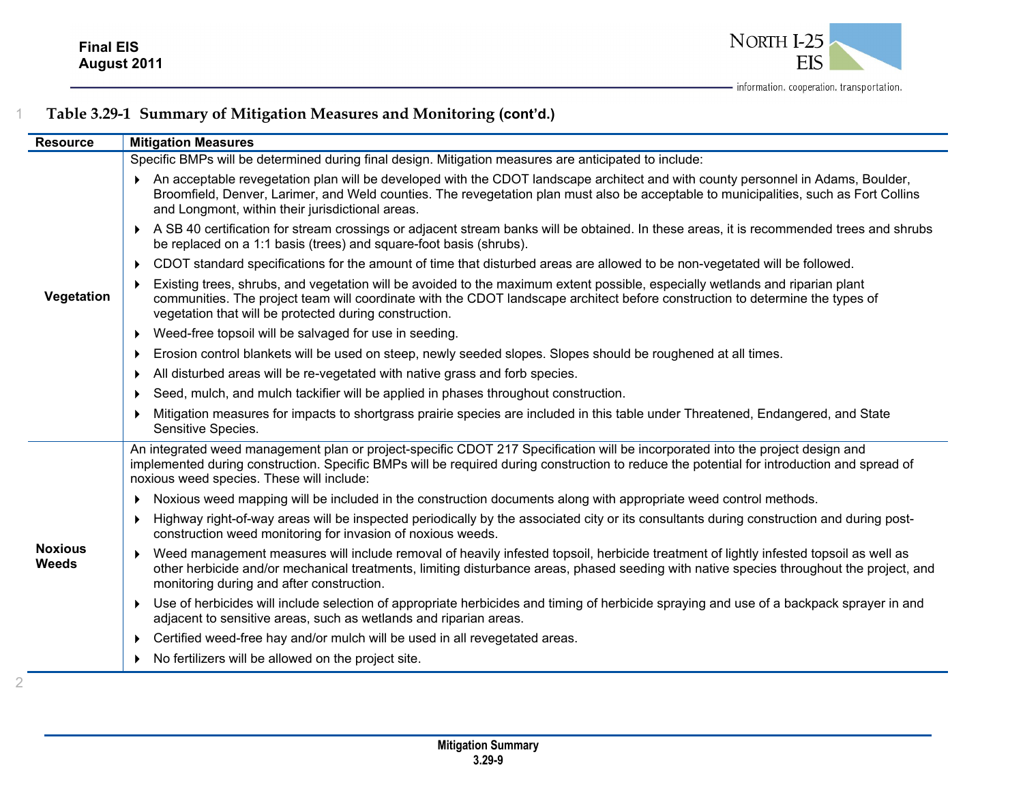

| <b>Resource</b>                | <b>Mitigation Measures</b>                                                                                                                                                                                                                                                                                                     |
|--------------------------------|--------------------------------------------------------------------------------------------------------------------------------------------------------------------------------------------------------------------------------------------------------------------------------------------------------------------------------|
|                                | Specific BMPs will be determined during final design. Mitigation measures are anticipated to include:                                                                                                                                                                                                                          |
|                                | An acceptable revegetation plan will be developed with the CDOT landscape architect and with county personnel in Adams, Boulder,<br>Broomfield, Denver, Larimer, and Weld counties. The revegetation plan must also be acceptable to municipalities, such as Fort Collins<br>and Longmont, within their jurisdictional areas.  |
|                                | A SB 40 certification for stream crossings or adjacent stream banks will be obtained. In these areas, it is recommended trees and shrubs<br>be replaced on a 1:1 basis (trees) and square-foot basis (shrubs).                                                                                                                 |
|                                | ▶ CDOT standard specifications for the amount of time that disturbed areas are allowed to be non-vegetated will be followed.                                                                                                                                                                                                   |
| Vegetation                     | Existing trees, shrubs, and vegetation will be avoided to the maximum extent possible, especially wetlands and riparian plant<br>communities. The project team will coordinate with the CDOT landscape architect before construction to determine the types of<br>vegetation that will be protected during construction.       |
|                                | ▶ Weed-free topsoil will be salvaged for use in seeding.                                                                                                                                                                                                                                                                       |
|                                | Erosion control blankets will be used on steep, newly seeded slopes. Slopes should be roughened at all times.                                                                                                                                                                                                                  |
|                                | All disturbed areas will be re-vegetated with native grass and forb species.<br>$\blacktriangleright$                                                                                                                                                                                                                          |
|                                | Seed, mulch, and mulch tackifier will be applied in phases throughout construction.                                                                                                                                                                                                                                            |
|                                | Mitigation measures for impacts to shortgrass prairie species are included in this table under Threatened, Endangered, and State<br>Sensitive Species.                                                                                                                                                                         |
|                                | An integrated weed management plan or project-specific CDOT 217 Specification will be incorporated into the project design and<br>implemented during construction. Specific BMPs will be required during construction to reduce the potential for introduction and spread of<br>noxious weed species. These will include:      |
|                                | > Noxious weed mapping will be included in the construction documents along with appropriate weed control methods.                                                                                                                                                                                                             |
|                                | Highway right-of-way areas will be inspected periodically by the associated city or its consultants during construction and during post-<br>construction weed monitoring for invasion of noxious weeds.                                                                                                                        |
| <b>Noxious</b><br><b>Weeds</b> | Weed management measures will include removal of heavily infested topsoil, herbicide treatment of lightly infested topsoil as well as<br>other herbicide and/or mechanical treatments, limiting disturbance areas, phased seeding with native species throughout the project, and<br>monitoring during and after construction. |
|                                | ▶ Use of herbicides will include selection of appropriate herbicides and timing of herbicide spraying and use of a backpack sprayer in and<br>adjacent to sensitive areas, such as wetlands and riparian areas.                                                                                                                |
|                                | ▶ Certified weed-free hay and/or mulch will be used in all revegetated areas.                                                                                                                                                                                                                                                  |
|                                | • No fertilizers will be allowed on the project site.                                                                                                                                                                                                                                                                          |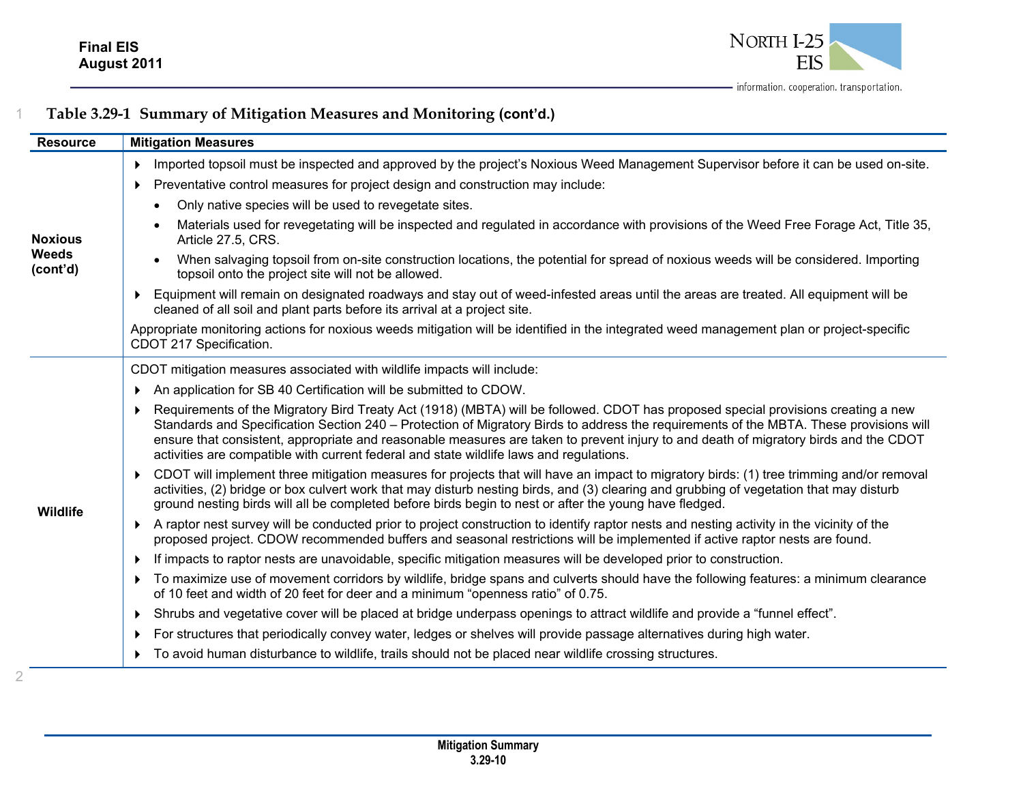

| <b>Resource</b>                            | <b>Mitigation Measures</b>                                                                                                                                                                                                                                                                                                                                                                                                                                                                                       |
|--------------------------------------------|------------------------------------------------------------------------------------------------------------------------------------------------------------------------------------------------------------------------------------------------------------------------------------------------------------------------------------------------------------------------------------------------------------------------------------------------------------------------------------------------------------------|
| <b>Noxious</b><br><b>Weeds</b><br>(cont'd) | Imported topsoil must be inspected and approved by the project's Noxious Weed Management Supervisor before it can be used on-site.<br>▶                                                                                                                                                                                                                                                                                                                                                                          |
|                                            | Preventative control measures for project design and construction may include:<br>▶                                                                                                                                                                                                                                                                                                                                                                                                                              |
|                                            | Only native species will be used to revegetate sites.<br>$\bullet$                                                                                                                                                                                                                                                                                                                                                                                                                                               |
|                                            | Materials used for revegetating will be inspected and regulated in accordance with provisions of the Weed Free Forage Act, Title 35,<br>$\bullet$<br>Article 27.5, CRS.                                                                                                                                                                                                                                                                                                                                          |
|                                            | When salvaging topsoil from on-site construction locations, the potential for spread of noxious weeds will be considered. Importing<br>$\bullet$<br>topsoil onto the project site will not be allowed.                                                                                                                                                                                                                                                                                                           |
|                                            | Equipment will remain on designated roadways and stay out of weed-infested areas until the areas are treated. All equipment will be<br>cleaned of all soil and plant parts before its arrival at a project site.                                                                                                                                                                                                                                                                                                 |
|                                            | Appropriate monitoring actions for noxious weeds mitigation will be identified in the integrated weed management plan or project-specific<br>CDOT 217 Specification.                                                                                                                                                                                                                                                                                                                                             |
|                                            | CDOT mitigation measures associated with wildlife impacts will include:                                                                                                                                                                                                                                                                                                                                                                                                                                          |
|                                            | An application for SB 40 Certification will be submitted to CDOW.                                                                                                                                                                                                                                                                                                                                                                                                                                                |
| Wildlife                                   | ▶ Requirements of the Migratory Bird Treaty Act (1918) (MBTA) will be followed. CDOT has proposed special provisions creating a new<br>Standards and Specification Section 240 – Protection of Migratory Birds to address the requirements of the MBTA. These provisions will<br>ensure that consistent, appropriate and reasonable measures are taken to prevent injury to and death of migratory birds and the CDOT<br>activities are compatible with current federal and state wildlife laws and regulations. |
|                                            | ▶ CDOT will implement three mitigation measures for projects that will have an impact to migratory birds: (1) tree trimming and/or removal<br>activities, (2) bridge or box culvert work that may disturb nesting birds, and (3) clearing and grubbing of vegetation that may disturb<br>ground nesting birds will all be completed before birds begin to nest or after the young have fledged.                                                                                                                  |
|                                            | A raptor nest survey will be conducted prior to project construction to identify raptor nests and nesting activity in the vicinity of the<br>proposed project. CDOW recommended buffers and seasonal restrictions will be implemented if active raptor nests are found.                                                                                                                                                                                                                                          |
|                                            | If impacts to raptor nests are unavoidable, specific mitigation measures will be developed prior to construction.<br>Þ.                                                                                                                                                                                                                                                                                                                                                                                          |
|                                            | To maximize use of movement corridors by wildlife, bridge spans and culverts should have the following features: a minimum clearance<br>of 10 feet and width of 20 feet for deer and a minimum "openness ratio" of 0.75.                                                                                                                                                                                                                                                                                         |
|                                            | > Shrubs and vegetative cover will be placed at bridge underpass openings to attract wildlife and provide a "funnel effect".                                                                                                                                                                                                                                                                                                                                                                                     |
|                                            | For structures that periodically convey water, ledges or shelves will provide passage alternatives during high water.<br>▶                                                                                                                                                                                                                                                                                                                                                                                       |
|                                            | ▶ To avoid human disturbance to wildlife, trails should not be placed near wildlife crossing structures.                                                                                                                                                                                                                                                                                                                                                                                                         |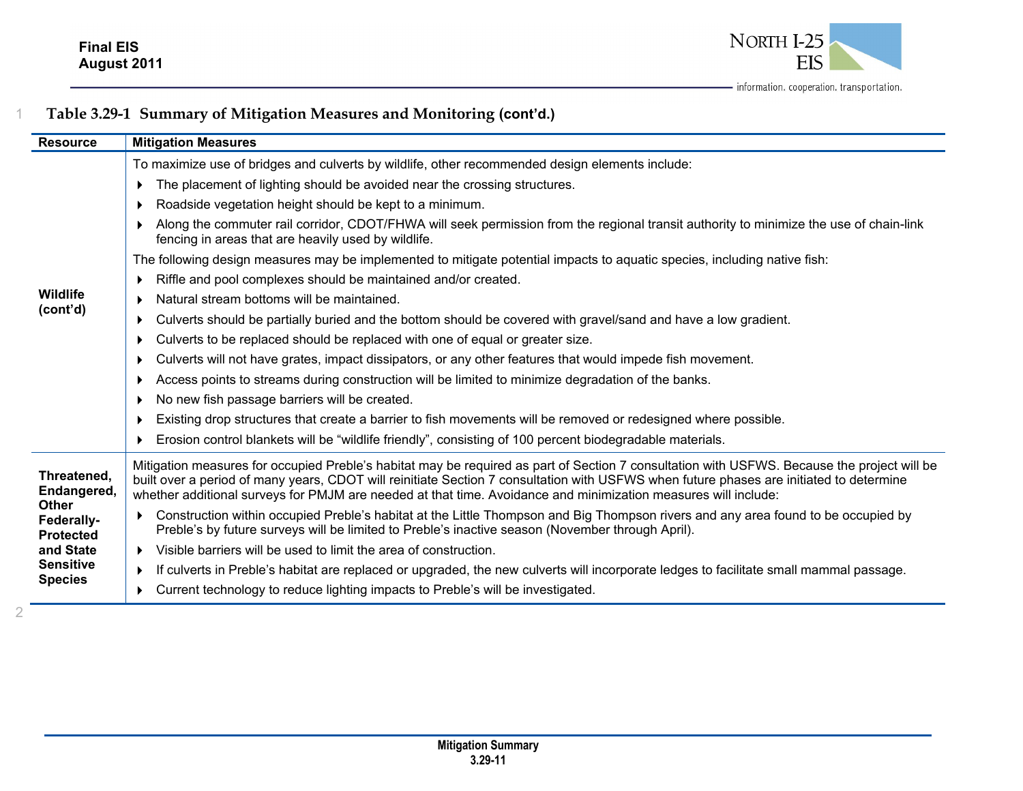

| <b>Resource</b>                                                                           | <b>Mitigation Measures</b>                                                                                                                                                                                                                                                                                                                                                                               |
|-------------------------------------------------------------------------------------------|----------------------------------------------------------------------------------------------------------------------------------------------------------------------------------------------------------------------------------------------------------------------------------------------------------------------------------------------------------------------------------------------------------|
|                                                                                           | To maximize use of bridges and culverts by wildlife, other recommended design elements include:                                                                                                                                                                                                                                                                                                          |
|                                                                                           | The placement of lighting should be avoided near the crossing structures.                                                                                                                                                                                                                                                                                                                                |
|                                                                                           | Roadside vegetation height should be kept to a minimum.                                                                                                                                                                                                                                                                                                                                                  |
|                                                                                           | Along the commuter rail corridor, CDOT/FHWA will seek permission from the regional transit authority to minimize the use of chain-link<br>fencing in areas that are heavily used by wildlife.                                                                                                                                                                                                            |
|                                                                                           | The following design measures may be implemented to mitigate potential impacts to aquatic species, including native fish:                                                                                                                                                                                                                                                                                |
|                                                                                           | Riffle and pool complexes should be maintained and/or created.                                                                                                                                                                                                                                                                                                                                           |
| Wildlife                                                                                  | Natural stream bottoms will be maintained.<br>$\blacktriangleright$                                                                                                                                                                                                                                                                                                                                      |
| (cont'd)                                                                                  | Culverts should be partially buried and the bottom should be covered with gravel/sand and have a low gradient.                                                                                                                                                                                                                                                                                           |
|                                                                                           | Culverts to be replaced should be replaced with one of equal or greater size.                                                                                                                                                                                                                                                                                                                            |
|                                                                                           | Culverts will not have grates, impact dissipators, or any other features that would impede fish movement.                                                                                                                                                                                                                                                                                                |
|                                                                                           | Access points to streams during construction will be limited to minimize degradation of the banks.                                                                                                                                                                                                                                                                                                       |
|                                                                                           | No new fish passage barriers will be created.                                                                                                                                                                                                                                                                                                                                                            |
|                                                                                           | Existing drop structures that create a barrier to fish movements will be removed or redesigned where possible.                                                                                                                                                                                                                                                                                           |
|                                                                                           | Erosion control blankets will be "wildlife friendly", consisting of 100 percent biodegradable materials.                                                                                                                                                                                                                                                                                                 |
| Threatened,<br>Endangered,<br><b>Other</b><br>Federally-<br><b>Protected</b><br>and State | Mitigation measures for occupied Preble's habitat may be required as part of Section 7 consultation with USFWS. Because the project will be<br>built over a period of many years, CDOT will reinitiate Section 7 consultation with USFWS when future phases are initiated to determine<br>whether additional surveys for PMJM are needed at that time. Avoidance and minimization measures will include: |
|                                                                                           | Construction within occupied Preble's habitat at the Little Thompson and Big Thompson rivers and any area found to be occupied by<br>Preble's by future surveys will be limited to Preble's inactive season (November through April).                                                                                                                                                                    |
|                                                                                           | Visible barriers will be used to limit the area of construction.<br>$\blacktriangleright$                                                                                                                                                                                                                                                                                                                |
| <b>Sensitive</b>                                                                          | If culverts in Preble's habitat are replaced or upgraded, the new culverts will incorporate ledges to facilitate small mammal passage.<br>$\blacktriangleright$                                                                                                                                                                                                                                          |
| <b>Species</b>                                                                            | Current technology to reduce lighting impacts to Preble's will be investigated.                                                                                                                                                                                                                                                                                                                          |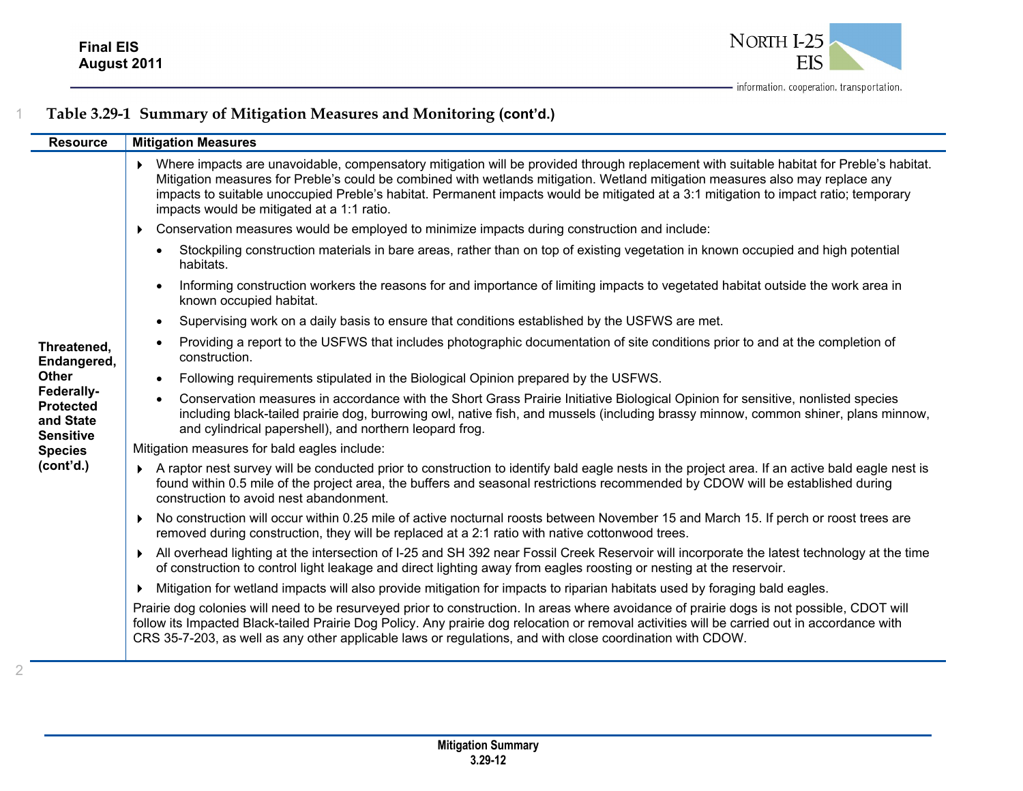

| <b>Resource</b>                                                 | <b>Mitigation Measures</b>                                                                                                                                                                                                                                                                                                                                                                                                                                     |
|-----------------------------------------------------------------|----------------------------------------------------------------------------------------------------------------------------------------------------------------------------------------------------------------------------------------------------------------------------------------------------------------------------------------------------------------------------------------------------------------------------------------------------------------|
|                                                                 | Where impacts are unavoidable, compensatory mitigation will be provided through replacement with suitable habitat for Preble's habitat.<br>Mitigation measures for Preble's could be combined with wetlands mitigation. Wetland mitigation measures also may replace any<br>impacts to suitable unoccupied Preble's habitat. Permanent impacts would be mitigated at a 3:1 mitigation to impact ratio; temporary<br>impacts would be mitigated at a 1:1 ratio. |
|                                                                 | Conservation measures would be employed to minimize impacts during construction and include:<br>$\blacktriangleright$                                                                                                                                                                                                                                                                                                                                          |
|                                                                 | Stockpiling construction materials in bare areas, rather than on top of existing vegetation in known occupied and high potential<br>$\bullet$<br>habitats.                                                                                                                                                                                                                                                                                                     |
|                                                                 | Informing construction workers the reasons for and importance of limiting impacts to vegetated habitat outside the work area in<br>$\bullet$<br>known occupied habitat.                                                                                                                                                                                                                                                                                        |
|                                                                 | Supervising work on a daily basis to ensure that conditions established by the USFWS are met.<br>$\bullet$                                                                                                                                                                                                                                                                                                                                                     |
| Threatened,<br>Endangered,                                      | Providing a report to the USFWS that includes photographic documentation of site conditions prior to and at the completion of<br>$\bullet$<br>construction.                                                                                                                                                                                                                                                                                                    |
| <b>Other</b>                                                    | Following requirements stipulated in the Biological Opinion prepared by the USFWS.<br>$\bullet$                                                                                                                                                                                                                                                                                                                                                                |
| Federally-<br><b>Protected</b><br>and State<br><b>Sensitive</b> | Conservation measures in accordance with the Short Grass Prairie Initiative Biological Opinion for sensitive, nonlisted species<br>$\bullet$<br>including black-tailed prairie dog, burrowing owl, native fish, and mussels (including brassy minnow, common shiner, plans minnow,<br>and cylindrical papershell), and northern leopard frog.                                                                                                                  |
| <b>Species</b>                                                  | Mitigation measures for bald eagles include:                                                                                                                                                                                                                                                                                                                                                                                                                   |
| (cont'd.)                                                       | A raptor nest survey will be conducted prior to construction to identify bald eagle nests in the project area. If an active bald eagle nest is<br>found within 0.5 mile of the project area, the buffers and seasonal restrictions recommended by CDOW will be established during<br>construction to avoid nest abandonment.                                                                                                                                   |
|                                                                 | No construction will occur within 0.25 mile of active nocturnal roosts between November 15 and March 15. If perch or roost trees are<br>▶<br>removed during construction, they will be replaced at a 2:1 ratio with native cottonwood trees.                                                                                                                                                                                                                   |
|                                                                 | All overhead lighting at the intersection of I-25 and SH 392 near Fossil Creek Reservoir will incorporate the latest technology at the time<br>$\blacktriangleright$<br>of construction to control light leakage and direct lighting away from eagles roosting or nesting at the reservoir.                                                                                                                                                                    |
|                                                                 | Mitigation for wetland impacts will also provide mitigation for impacts to riparian habitats used by foraging bald eagles.                                                                                                                                                                                                                                                                                                                                     |
|                                                                 | Prairie dog colonies will need to be resurveyed prior to construction. In areas where avoidance of prairie dogs is not possible, CDOT will<br>follow its Impacted Black-tailed Prairie Dog Policy. Any prairie dog relocation or removal activities will be carried out in accordance with<br>CRS 35-7-203, as well as any other applicable laws or regulations, and with close coordination with CDOW.                                                        |
|                                                                 |                                                                                                                                                                                                                                                                                                                                                                                                                                                                |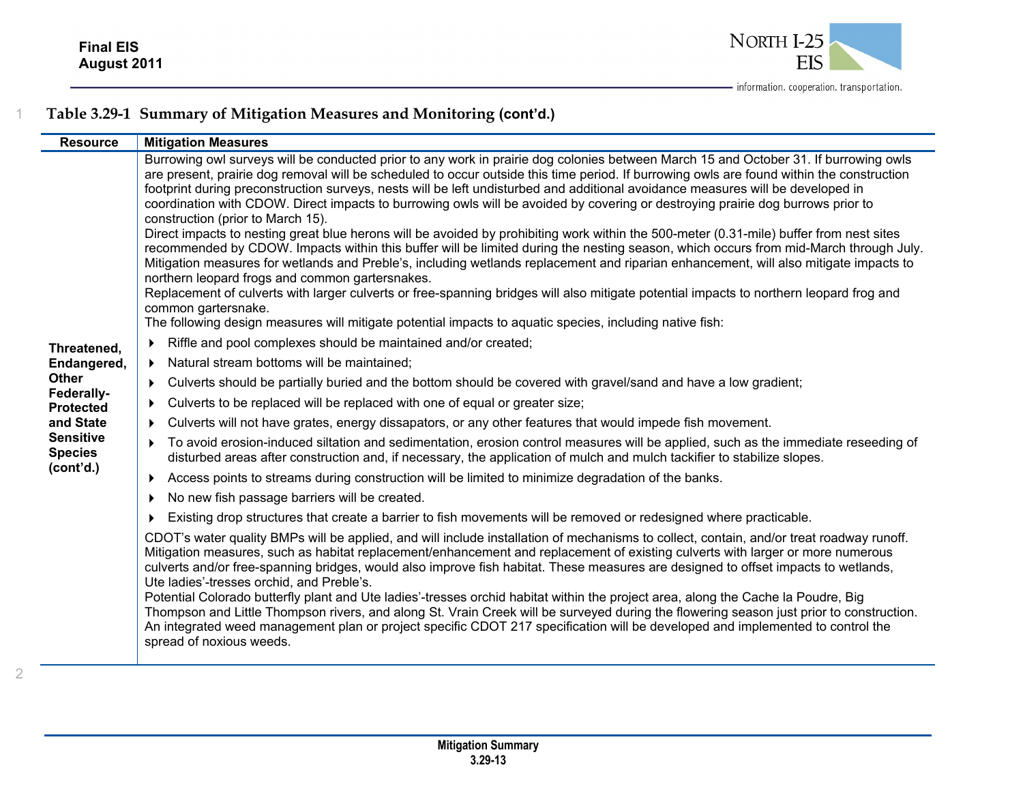

| <b>Resource</b>                                                                                                                              | <b>Mitigation Measures</b>                                                                                                                                                                                                                                                                                                                                                                                                                                                                                                                                                                                                                                                                                                                                                                                                                                                                                                                                                                                                                                                                                                                                                                                                                                                                                                                                                                                                                                                                                                                                                                                                                                                                                                                                                                                                                                                                                                                                                                                                                                                                                                                                                                                                                                                                                                                                                                                                                                                                                                                                                                                                                                                                                                                                                                                                                                                                                                                                                                                                                                                                                                                                                                                                                                         |
|----------------------------------------------------------------------------------------------------------------------------------------------|--------------------------------------------------------------------------------------------------------------------------------------------------------------------------------------------------------------------------------------------------------------------------------------------------------------------------------------------------------------------------------------------------------------------------------------------------------------------------------------------------------------------------------------------------------------------------------------------------------------------------------------------------------------------------------------------------------------------------------------------------------------------------------------------------------------------------------------------------------------------------------------------------------------------------------------------------------------------------------------------------------------------------------------------------------------------------------------------------------------------------------------------------------------------------------------------------------------------------------------------------------------------------------------------------------------------------------------------------------------------------------------------------------------------------------------------------------------------------------------------------------------------------------------------------------------------------------------------------------------------------------------------------------------------------------------------------------------------------------------------------------------------------------------------------------------------------------------------------------------------------------------------------------------------------------------------------------------------------------------------------------------------------------------------------------------------------------------------------------------------------------------------------------------------------------------------------------------------------------------------------------------------------------------------------------------------------------------------------------------------------------------------------------------------------------------------------------------------------------------------------------------------------------------------------------------------------------------------------------------------------------------------------------------------------------------------------------------------------------------------------------------------------------------------------------------------------------------------------------------------------------------------------------------------------------------------------------------------------------------------------------------------------------------------------------------------------------------------------------------------------------------------------------------------------------------------------------------------------------------------------------------------|
| Threatened,<br>Endangered,<br><b>Other</b><br>Federally-<br><b>Protected</b><br>and State<br><b>Sensitive</b><br><b>Species</b><br>(cont'd.) | Burrowing owl surveys will be conducted prior to any work in prairie dog colonies between March 15 and October 31. If burrowing owls<br>are present, prairie dog removal will be scheduled to occur outside this time period. If burrowing owls are found within the construction<br>footprint during preconstruction surveys, nests will be left undisturbed and additional avoidance measures will be developed in<br>coordination with CDOW. Direct impacts to burrowing owls will be avoided by covering or destroying prairie dog burrows prior to<br>construction (prior to March 15).<br>Direct impacts to nesting great blue herons will be avoided by prohibiting work within the 500-meter (0.31-mile) buffer from nest sites<br>recommended by CDOW. Impacts within this buffer will be limited during the nesting season, which occurs from mid-March through July.<br>Mitigation measures for wetlands and Preble's, including wetlands replacement and riparian enhancement, will also mitigate impacts to<br>northern leopard frogs and common gartersnakes.<br>Replacement of culverts with larger culverts or free-spanning bridges will also mitigate potential impacts to northern leopard frog and<br>common gartersnake.<br>The following design measures will mitigate potential impacts to aquatic species, including native fish:<br>Riffle and pool complexes should be maintained and/or created;<br>Natural stream bottoms will be maintained;<br>Culverts should be partially buried and the bottom should be covered with gravel/sand and have a low gradient;<br>▶<br>Culverts to be replaced will be replaced with one of equal or greater size;<br>Culverts will not have grates, energy dissapators, or any other features that would impede fish movement.<br>To avoid erosion-induced siltation and sedimentation, erosion control measures will be applied, such as the immediate reseeding of<br>▶<br>disturbed areas after construction and, if necessary, the application of mulch and mulch tackifier to stabilize slopes.<br>Access points to streams during construction will be limited to minimize degradation of the banks.<br>▶<br>No new fish passage barriers will be created.<br>Existing drop structures that create a barrier to fish movements will be removed or redesigned where practicable.<br>CDOT's water quality BMPs will be applied, and will include installation of mechanisms to collect, contain, and/or treat roadway runoff.<br>Mitigation measures, such as habitat replacement/enhancement and replacement of existing culverts with larger or more numerous<br>culverts and/or free-spanning bridges, would also improve fish habitat. These measures are designed to offset impacts to wetlands,<br>Ute ladies'-tresses orchid, and Preble's.<br>Potential Colorado butterfly plant and Ute ladies'-tresses orchid habitat within the project area, along the Cache la Poudre, Big<br>Thompson and Little Thompson rivers, and along St. Vrain Creek will be surveyed during the flowering season just prior to construction.<br>An integrated weed management plan or project specific CDOT 217 specification will be developed and implemented to control the<br>spread of noxious weeds. |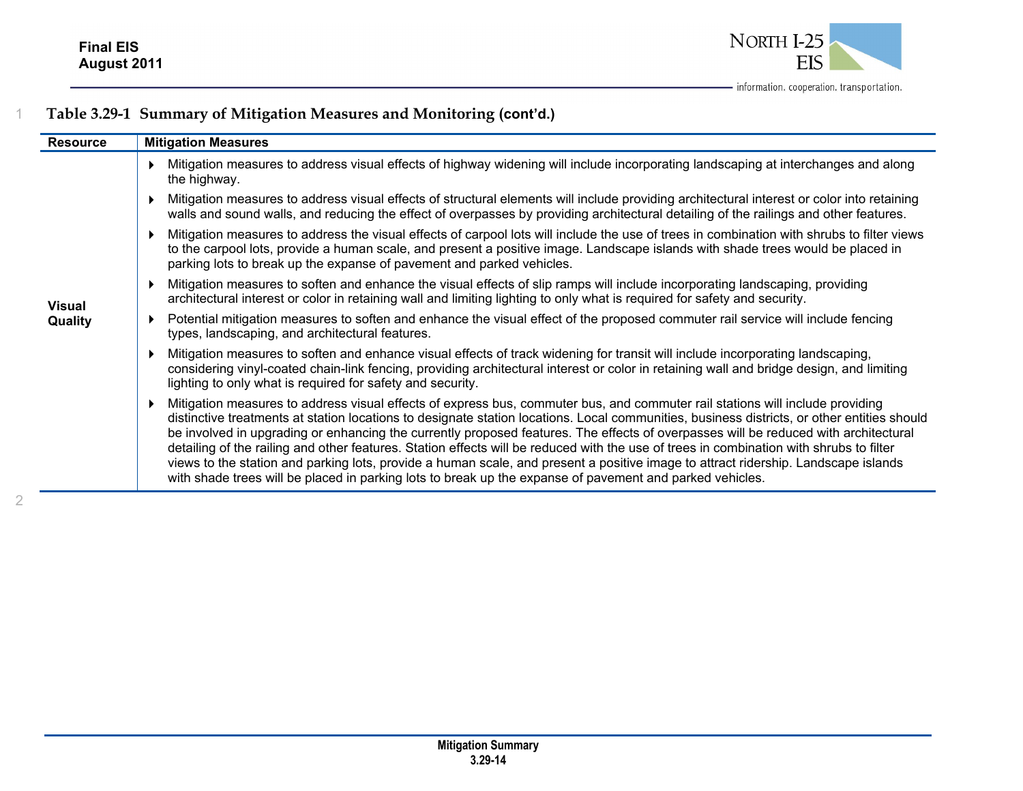

| <b>Resource</b> | <b>Mitigation Measures</b>                                                                                                                                                                                                                                                                                                                                                                                                                                                                                                                                                                                                                                                                                                                                                                                       |
|-----------------|------------------------------------------------------------------------------------------------------------------------------------------------------------------------------------------------------------------------------------------------------------------------------------------------------------------------------------------------------------------------------------------------------------------------------------------------------------------------------------------------------------------------------------------------------------------------------------------------------------------------------------------------------------------------------------------------------------------------------------------------------------------------------------------------------------------|
|                 | Mitigation measures to address visual effects of highway widening will include incorporating landscaping at interchanges and along<br>the highway.                                                                                                                                                                                                                                                                                                                                                                                                                                                                                                                                                                                                                                                               |
|                 | Mitigation measures to address visual effects of structural elements will include providing architectural interest or color into retaining<br>walls and sound walls, and reducing the effect of overpasses by providing architectural detailing of the railings and other features.                                                                                                                                                                                                                                                                                                                                                                                                                                                                                                                              |
|                 | Mitigation measures to address the visual effects of carpool lots will include the use of trees in combination with shrubs to filter views<br>to the carpool lots, provide a human scale, and present a positive image. Landscape islands with shade trees would be placed in<br>parking lots to break up the expanse of pavement and parked vehicles.                                                                                                                                                                                                                                                                                                                                                                                                                                                           |
| <b>Visual</b>   | Mitigation measures to soften and enhance the visual effects of slip ramps will include incorporating landscaping, providing<br>architectural interest or color in retaining wall and limiting lighting to only what is required for safety and security.                                                                                                                                                                                                                                                                                                                                                                                                                                                                                                                                                        |
| Quality         | Potential mitigation measures to soften and enhance the visual effect of the proposed commuter rail service will include fencing<br>types, landscaping, and architectural features.                                                                                                                                                                                                                                                                                                                                                                                                                                                                                                                                                                                                                              |
|                 | Mitigation measures to soften and enhance visual effects of track widening for transit will include incorporating landscaping,<br>considering vinyl-coated chain-link fencing, providing architectural interest or color in retaining wall and bridge design, and limiting<br>lighting to only what is required for safety and security.                                                                                                                                                                                                                                                                                                                                                                                                                                                                         |
|                 | Mitigation measures to address visual effects of express bus, commuter bus, and commuter rail stations will include providing<br>distinctive treatments at station locations to designate station locations. Local communities, business districts, or other entities should<br>be involved in upgrading or enhancing the currently proposed features. The effects of overpasses will be reduced with architectural<br>detailing of the railing and other features. Station effects will be reduced with the use of trees in combination with shrubs to filter<br>views to the station and parking lots, provide a human scale, and present a positive image to attract ridership. Landscape islands<br>with shade trees will be placed in parking lots to break up the expanse of pavement and parked vehicles. |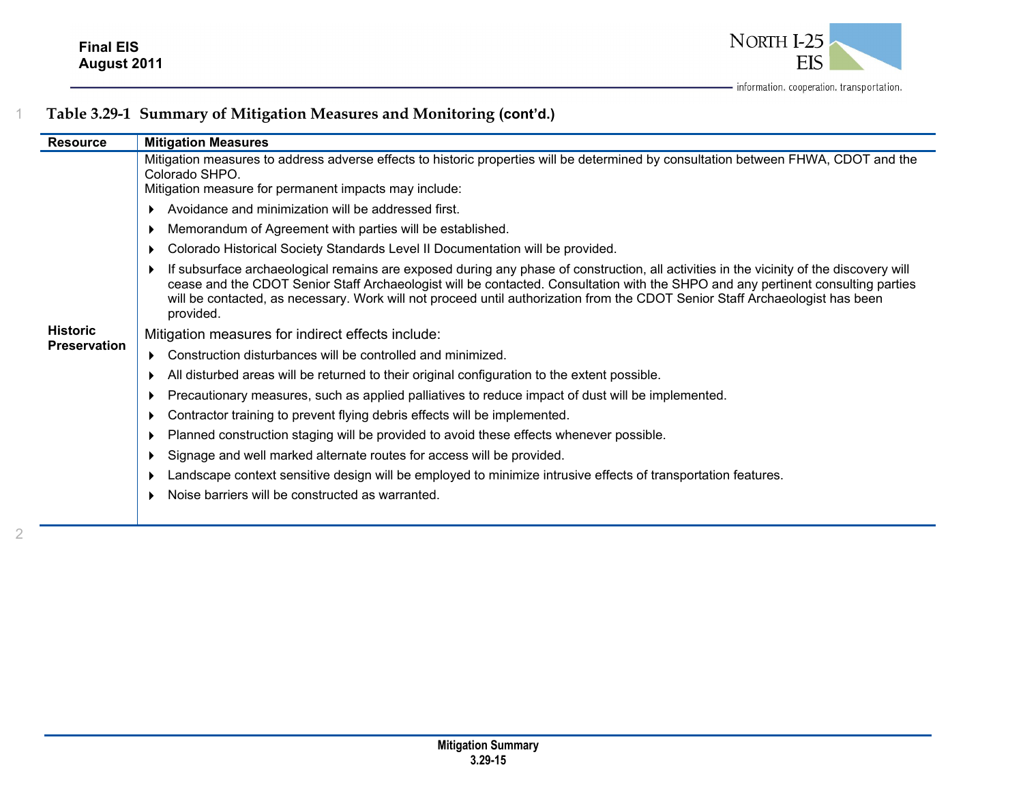

|  |  |  | Table 3.29-1 Summary of Mitigation Measures and Monitoring (cont'd.) |  |
|--|--|--|----------------------------------------------------------------------|--|
|--|--|--|----------------------------------------------------------------------|--|

| <b>Resource</b>     | <b>Mitigation Measures</b>                                                                                                                                                                                                                                                                                                                                                                                               |
|---------------------|--------------------------------------------------------------------------------------------------------------------------------------------------------------------------------------------------------------------------------------------------------------------------------------------------------------------------------------------------------------------------------------------------------------------------|
|                     | Mitigation measures to address adverse effects to historic properties will be determined by consultation between FHWA, CDOT and the<br>Colorado SHPO.<br>Mitigation measure for permanent impacts may include:                                                                                                                                                                                                           |
|                     | Avoidance and minimization will be addressed first.                                                                                                                                                                                                                                                                                                                                                                      |
|                     | Memorandum of Agreement with parties will be established.                                                                                                                                                                                                                                                                                                                                                                |
|                     | Colorado Historical Society Standards Level II Documentation will be provided.                                                                                                                                                                                                                                                                                                                                           |
|                     | If subsurface archaeological remains are exposed during any phase of construction, all activities in the vicinity of the discovery will<br>cease and the CDOT Senior Staff Archaeologist will be contacted. Consultation with the SHPO and any pertinent consulting parties<br>will be contacted, as necessary. Work will not proceed until authorization from the CDOT Senior Staff Archaeologist has been<br>provided. |
| <b>Historic</b>     | Mitigation measures for indirect effects include:                                                                                                                                                                                                                                                                                                                                                                        |
| <b>Preservation</b> | Construction disturbances will be controlled and minimized.<br>Þ.                                                                                                                                                                                                                                                                                                                                                        |
|                     | All disturbed areas will be returned to their original configuration to the extent possible.<br>▶                                                                                                                                                                                                                                                                                                                        |
|                     | Precautionary measures, such as applied palliatives to reduce impact of dust will be implemented.<br>▶                                                                                                                                                                                                                                                                                                                   |
|                     | Contractor training to prevent flying debris effects will be implemented.<br>▶                                                                                                                                                                                                                                                                                                                                           |
|                     | Planned construction staging will be provided to avoid these effects whenever possible.<br>▶                                                                                                                                                                                                                                                                                                                             |
|                     | Signage and well marked alternate routes for access will be provided.<br>▶                                                                                                                                                                                                                                                                                                                                               |
|                     | Landscape context sensitive design will be employed to minimize intrusive effects of transportation features.<br>▶                                                                                                                                                                                                                                                                                                       |
|                     | Noise barriers will be constructed as warranted.                                                                                                                                                                                                                                                                                                                                                                         |
|                     |                                                                                                                                                                                                                                                                                                                                                                                                                          |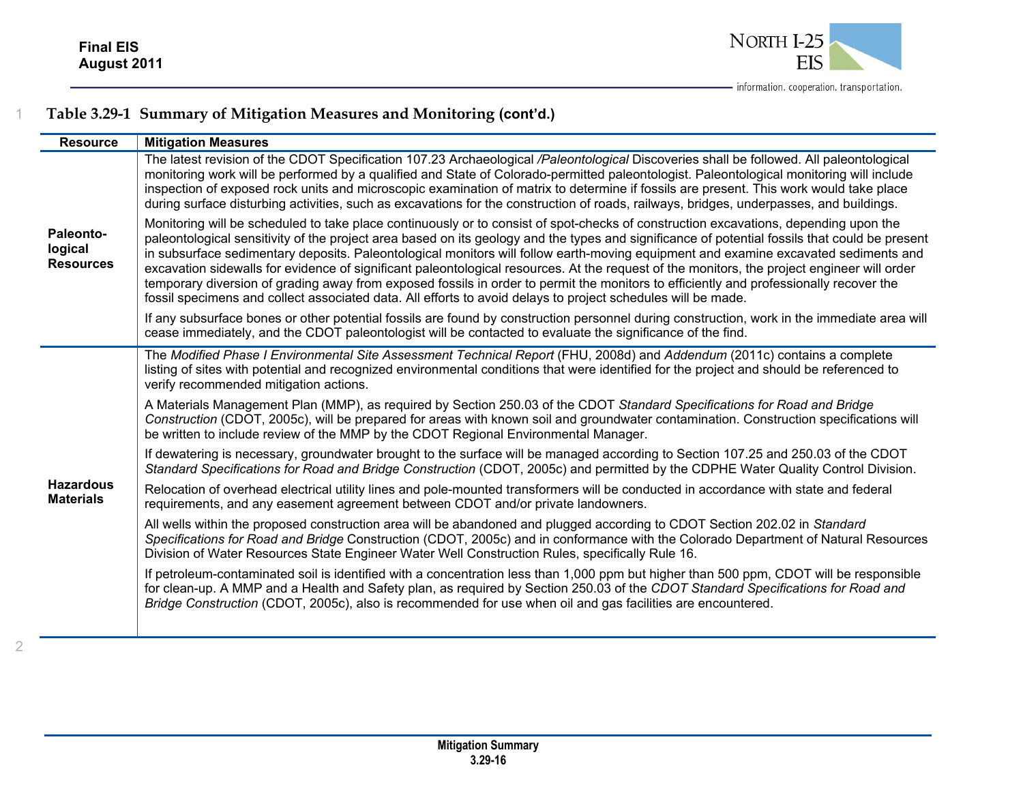

| <b>Resource</b>                          | <b>Mitigation Measures</b>                                                                                                                                                                                                                                                                                                                                                                                                                                                                                                                                                                                                                                                                                                                                                                                                             |
|------------------------------------------|----------------------------------------------------------------------------------------------------------------------------------------------------------------------------------------------------------------------------------------------------------------------------------------------------------------------------------------------------------------------------------------------------------------------------------------------------------------------------------------------------------------------------------------------------------------------------------------------------------------------------------------------------------------------------------------------------------------------------------------------------------------------------------------------------------------------------------------|
|                                          | The latest revision of the CDOT Specification 107.23 Archaeological /Paleontological Discoveries shall be followed. All paleontological<br>monitoring work will be performed by a qualified and State of Colorado-permitted paleontologist. Paleontological monitoring will include<br>inspection of exposed rock units and microscopic examination of matrix to determine if fossils are present. This work would take place<br>during surface disturbing activities, such as excavations for the construction of roads, railways, bridges, underpasses, and buildings.                                                                                                                                                                                                                                                               |
| Paleonto-<br>logical<br><b>Resources</b> | Monitoring will be scheduled to take place continuously or to consist of spot-checks of construction excavations, depending upon the<br>paleontological sensitivity of the project area based on its geology and the types and significance of potential fossils that could be present<br>in subsurface sedimentary deposits. Paleontological monitors will follow earth-moving equipment and examine excavated sediments and<br>excavation sidewalls for evidence of significant paleontological resources. At the request of the monitors, the project engineer will order<br>temporary diversion of grading away from exposed fossils in order to permit the monitors to efficiently and professionally recover the<br>fossil specimens and collect associated data. All efforts to avoid delays to project schedules will be made. |
|                                          | If any subsurface bones or other potential fossils are found by construction personnel during construction, work in the immediate area will<br>cease immediately, and the CDOT paleontologist will be contacted to evaluate the significance of the find.                                                                                                                                                                                                                                                                                                                                                                                                                                                                                                                                                                              |
|                                          | The Modified Phase I Environmental Site Assessment Technical Report (FHU, 2008d) and Addendum (2011c) contains a complete<br>listing of sites with potential and recognized environmental conditions that were identified for the project and should be referenced to<br>verify recommended mitigation actions.                                                                                                                                                                                                                                                                                                                                                                                                                                                                                                                        |
|                                          | A Materials Management Plan (MMP), as required by Section 250.03 of the CDOT Standard Specifications for Road and Bridge<br>Construction (CDOT, 2005c), will be prepared for areas with known soil and groundwater contamination. Construction specifications will<br>be written to include review of the MMP by the CDOT Regional Environmental Manager.                                                                                                                                                                                                                                                                                                                                                                                                                                                                              |
|                                          | If dewatering is necessary, groundwater brought to the surface will be managed according to Section 107.25 and 250.03 of the CDOT<br>Standard Specifications for Road and Bridge Construction (CDOT, 2005c) and permitted by the CDPHE Water Quality Control Division.                                                                                                                                                                                                                                                                                                                                                                                                                                                                                                                                                                 |
| <b>Hazardous</b><br><b>Materials</b>     | Relocation of overhead electrical utility lines and pole-mounted transformers will be conducted in accordance with state and federal<br>requirements, and any easement agreement between CDOT and/or private landowners.                                                                                                                                                                                                                                                                                                                                                                                                                                                                                                                                                                                                               |
|                                          | All wells within the proposed construction area will be abandoned and plugged according to CDOT Section 202.02 in Standard<br>Specifications for Road and Bridge Construction (CDOT, 2005c) and in conformance with the Colorado Department of Natural Resources<br>Division of Water Resources State Engineer Water Well Construction Rules, specifically Rule 16.                                                                                                                                                                                                                                                                                                                                                                                                                                                                    |
|                                          | If petroleum-contaminated soil is identified with a concentration less than 1,000 ppm but higher than 500 ppm, CDOT will be responsible<br>for clean-up. A MMP and a Health and Safety plan, as required by Section 250.03 of the CDOT Standard Specifications for Road and<br>Bridge Construction (CDOT, 2005c), also is recommended for use when oil and gas facilities are encountered.                                                                                                                                                                                                                                                                                                                                                                                                                                             |
|                                          |                                                                                                                                                                                                                                                                                                                                                                                                                                                                                                                                                                                                                                                                                                                                                                                                                                        |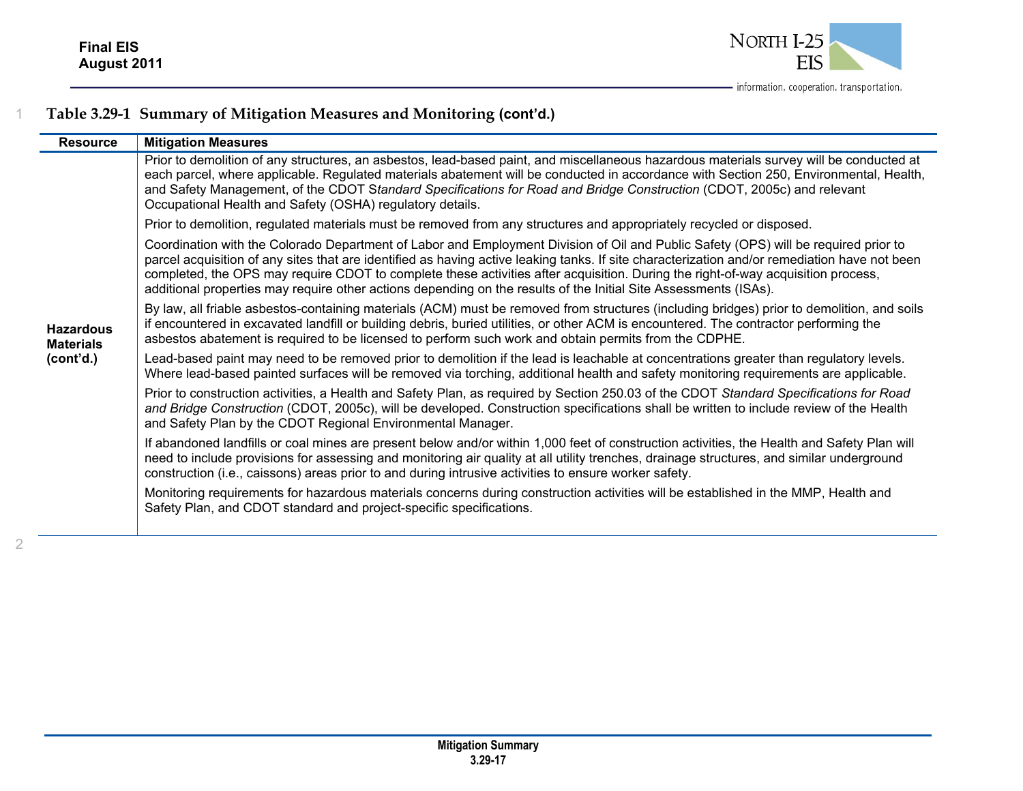

| <b>Mitigation Measures</b>                                                                                                                                                                                                                                                                                                                                                                                                                                                                                                                   |
|----------------------------------------------------------------------------------------------------------------------------------------------------------------------------------------------------------------------------------------------------------------------------------------------------------------------------------------------------------------------------------------------------------------------------------------------------------------------------------------------------------------------------------------------|
| Prior to demolition of any structures, an asbestos, lead-based paint, and miscellaneous hazardous materials survey will be conducted at<br>each parcel, where applicable. Regulated materials abatement will be conducted in accordance with Section 250, Environmental, Health,<br>and Safety Management, of the CDOT Standard Specifications for Road and Bridge Construction (CDOT, 2005c) and relevant<br>Occupational Health and Safety (OSHA) regulatory details.                                                                      |
| Prior to demolition, regulated materials must be removed from any structures and appropriately recycled or disposed.                                                                                                                                                                                                                                                                                                                                                                                                                         |
| Coordination with the Colorado Department of Labor and Employment Division of Oil and Public Safety (OPS) will be required prior to<br>parcel acquisition of any sites that are identified as having active leaking tanks. If site characterization and/or remediation have not been<br>completed, the OPS may require CDOT to complete these activities after acquisition. During the right-of-way acquisition process,<br>additional properties may require other actions depending on the results of the Initial Site Assessments (ISAs). |
| By law, all friable asbestos-containing materials (ACM) must be removed from structures (including bridges) prior to demolition, and soils<br>if encountered in excavated landfill or building debris, buried utilities, or other ACM is encountered. The contractor performing the<br>asbestos abatement is required to be licensed to perform such work and obtain permits from the CDPHE.                                                                                                                                                 |
| Lead-based paint may need to be removed prior to demolition if the lead is leachable at concentrations greater than regulatory levels.<br>Where lead-based painted surfaces will be removed via torching, additional health and safety monitoring requirements are applicable.                                                                                                                                                                                                                                                               |
| Prior to construction activities, a Health and Safety Plan, as required by Section 250.03 of the CDOT Standard Specifications for Road<br>and Bridge Construction (CDOT, 2005c), will be developed. Construction specifications shall be written to include review of the Health<br>and Safety Plan by the CDOT Regional Environmental Manager.                                                                                                                                                                                              |
| If abandoned landfills or coal mines are present below and/or within 1,000 feet of construction activities, the Health and Safety Plan will<br>need to include provisions for assessing and monitoring air quality at all utility trenches, drainage structures, and similar underground<br>construction (i.e., caissons) areas prior to and during intrusive activities to ensure worker safety.                                                                                                                                            |
| Monitoring requirements for hazardous materials concerns during construction activities will be established in the MMP, Health and<br>Safety Plan, and CDOT standard and project-specific specifications.                                                                                                                                                                                                                                                                                                                                    |
|                                                                                                                                                                                                                                                                                                                                                                                                                                                                                                                                              |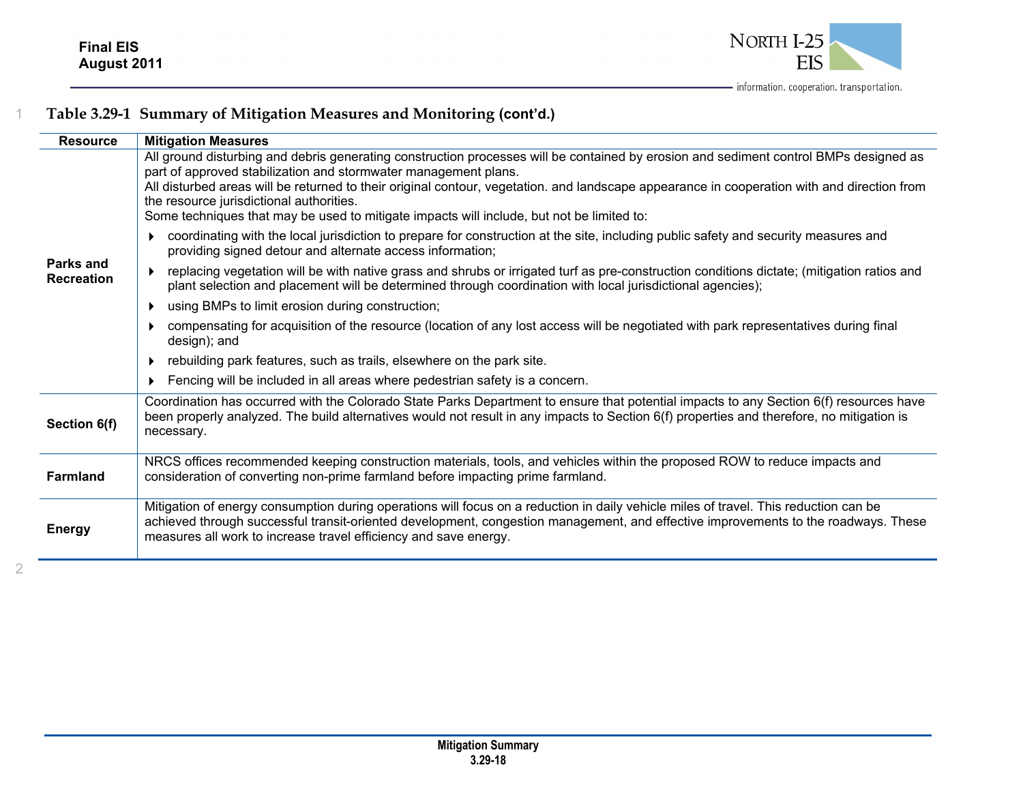

| <b>Resource</b>                | <b>Mitigation Measures</b>                                                                                                                                                                                                                                                                                                                                                                                                                                                                       |
|--------------------------------|--------------------------------------------------------------------------------------------------------------------------------------------------------------------------------------------------------------------------------------------------------------------------------------------------------------------------------------------------------------------------------------------------------------------------------------------------------------------------------------------------|
|                                | All ground disturbing and debris generating construction processes will be contained by erosion and sediment control BMPs designed as<br>part of approved stabilization and stormwater management plans.<br>All disturbed areas will be returned to their original contour, vegetation. and landscape appearance in cooperation with and direction from<br>the resource jurisdictional authorities.<br>Some techniques that may be used to mitigate impacts will include, but not be limited to: |
|                                | coordinating with the local jurisdiction to prepare for construction at the site, including public safety and security measures and<br>providing signed detour and alternate access information;                                                                                                                                                                                                                                                                                                 |
| Parks and<br><b>Recreation</b> | replacing vegetation will be with native grass and shrubs or irrigated turf as pre-construction conditions dictate; (mitigation ratios and<br>plant selection and placement will be determined through coordination with local jurisdictional agencies);                                                                                                                                                                                                                                         |
|                                | using BMPs to limit erosion during construction;                                                                                                                                                                                                                                                                                                                                                                                                                                                 |
|                                | compensating for acquisition of the resource (location of any lost access will be negotiated with park representatives during final<br>design); and                                                                                                                                                                                                                                                                                                                                              |
|                                | rebuilding park features, such as trails, elsewhere on the park site.                                                                                                                                                                                                                                                                                                                                                                                                                            |
|                                | Fencing will be included in all areas where pedestrian safety is a concern.                                                                                                                                                                                                                                                                                                                                                                                                                      |
| Section 6(f)                   | Coordination has occurred with the Colorado State Parks Department to ensure that potential impacts to any Section 6(f) resources have<br>been properly analyzed. The build alternatives would not result in any impacts to Section 6(f) properties and therefore, no mitigation is<br>necessary.                                                                                                                                                                                                |
| <b>Farmland</b>                | NRCS offices recommended keeping construction materials, tools, and vehicles within the proposed ROW to reduce impacts and<br>consideration of converting non-prime farmland before impacting prime farmland.                                                                                                                                                                                                                                                                                    |
| <b>Energy</b>                  | Mitigation of energy consumption during operations will focus on a reduction in daily vehicle miles of travel. This reduction can be<br>achieved through successful transit-oriented development, congestion management, and effective improvements to the roadways. These<br>measures all work to increase travel efficiency and save energy.                                                                                                                                                   |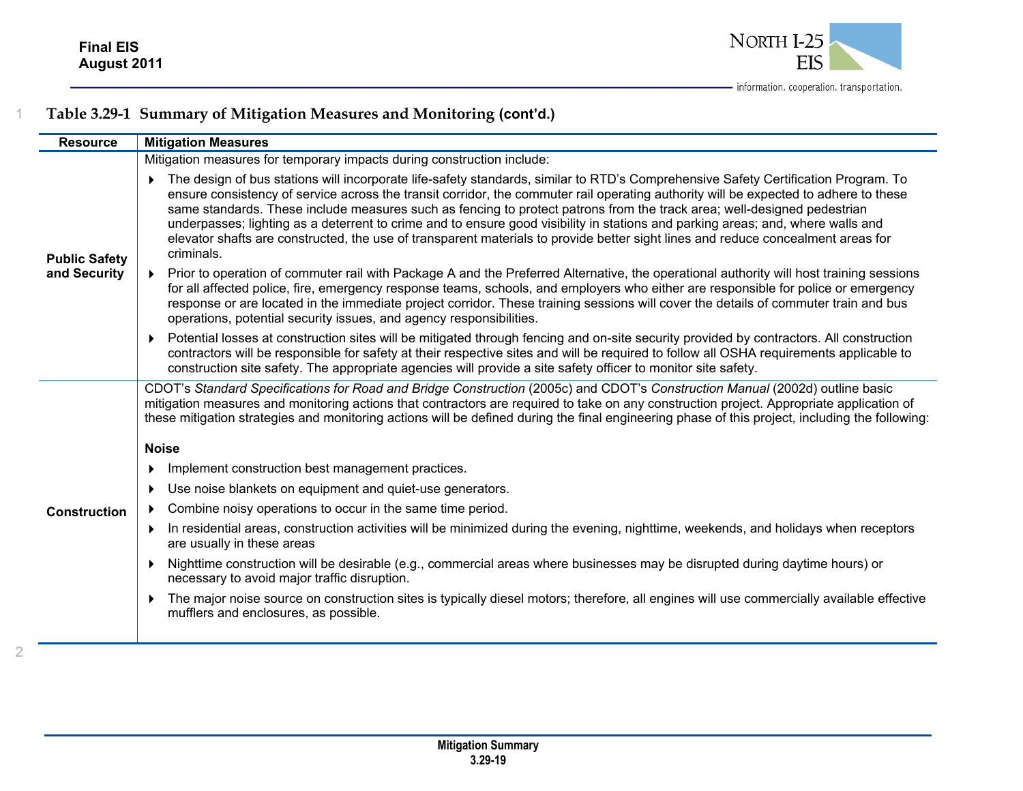

| <b>Resource</b>      | <b>Mitigation Measures</b>                                                                                                                                                                                                                                                                                                                                                                                                                                                                                                                                                                                                                                                                 |
|----------------------|--------------------------------------------------------------------------------------------------------------------------------------------------------------------------------------------------------------------------------------------------------------------------------------------------------------------------------------------------------------------------------------------------------------------------------------------------------------------------------------------------------------------------------------------------------------------------------------------------------------------------------------------------------------------------------------------|
|                      | Mitigation measures for temporary impacts during construction include:                                                                                                                                                                                                                                                                                                                                                                                                                                                                                                                                                                                                                     |
| <b>Public Safety</b> | The design of bus stations will incorporate life-safety standards, similar to RTD's Comprehensive Safety Certification Program. To<br>ensure consistency of service across the transit corridor, the commuter rail operating authority will be expected to adhere to these<br>same standards. These include measures such as fencing to protect patrons from the track area; well-designed pedestrian<br>underpasses; lighting as a deterrent to crime and to ensure good visibility in stations and parking areas; and, where walls and<br>elevator shafts are constructed, the use of transparent materials to provide better sight lines and reduce concealment areas for<br>criminals. |
| and Security         | Prior to operation of commuter rail with Package A and the Preferred Alternative, the operational authority will host training sessions<br>for all affected police, fire, emergency response teams, schools, and employers who either are responsible for police or emergency<br>response or are located in the immediate project corridor. These training sessions will cover the details of commuter train and bus<br>operations, potential security issues, and agency responsibilities.                                                                                                                                                                                                |
|                      | Potential losses at construction sites will be mitigated through fencing and on-site security provided by contractors. All construction<br>contractors will be responsible for safety at their respective sites and will be required to follow all OSHA requirements applicable to<br>construction site safety. The appropriate agencies will provide a site safety officer to monitor site safety.                                                                                                                                                                                                                                                                                        |
|                      | CDOT's Standard Specifications for Road and Bridge Construction (2005c) and CDOT's Construction Manual (2002d) outline basic<br>mitigation measures and monitoring actions that contractors are required to take on any construction project. Appropriate application of<br>these mitigation strategies and monitoring actions will be defined during the final engineering phase of this project, including the following:                                                                                                                                                                                                                                                                |
|                      | <b>Noise</b>                                                                                                                                                                                                                                                                                                                                                                                                                                                                                                                                                                                                                                                                               |
|                      | Implement construction best management practices.                                                                                                                                                                                                                                                                                                                                                                                                                                                                                                                                                                                                                                          |
|                      | Use noise blankets on equipment and quiet-use generators.                                                                                                                                                                                                                                                                                                                                                                                                                                                                                                                                                                                                                                  |
| <b>Construction</b>  | Combine noisy operations to occur in the same time period.                                                                                                                                                                                                                                                                                                                                                                                                                                                                                                                                                                                                                                 |
|                      | In residential areas, construction activities will be minimized during the evening, nighttime, weekends, and holidays when receptors<br>are usually in these areas                                                                                                                                                                                                                                                                                                                                                                                                                                                                                                                         |
|                      | Nighttime construction will be desirable (e.g., commercial areas where businesses may be disrupted during daytime hours) or<br>necessary to avoid major traffic disruption.                                                                                                                                                                                                                                                                                                                                                                                                                                                                                                                |
|                      | The major noise source on construction sites is typically diesel motors; therefore, all engines will use commercially available effective<br>mufflers and enclosures, as possible.                                                                                                                                                                                                                                                                                                                                                                                                                                                                                                         |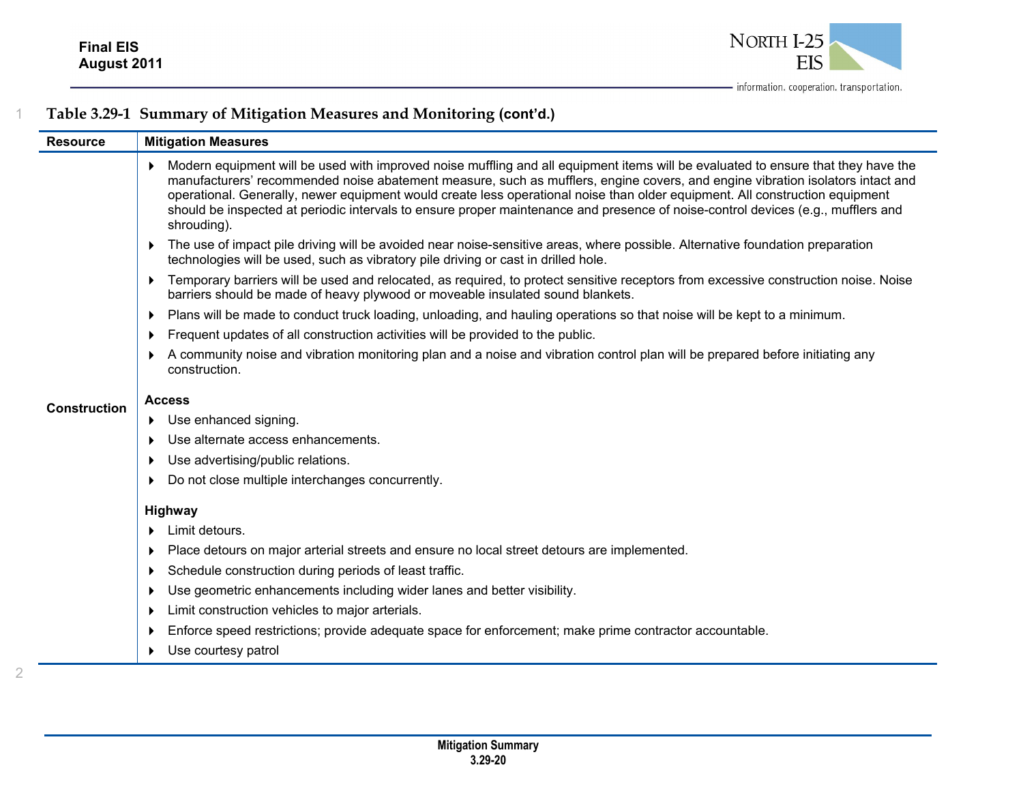

| <b>Resource</b>     | <b>Mitigation Measures</b>                                                                                                                                                                                                                                                                                                                                                                                                                                                                                                                                  |
|---------------------|-------------------------------------------------------------------------------------------------------------------------------------------------------------------------------------------------------------------------------------------------------------------------------------------------------------------------------------------------------------------------------------------------------------------------------------------------------------------------------------------------------------------------------------------------------------|
|                     | Modern equipment will be used with improved noise muffling and all equipment items will be evaluated to ensure that they have the<br>▶<br>manufacturers' recommended noise abatement measure, such as mufflers, engine covers, and engine vibration isolators intact and<br>operational. Generally, newer equipment would create less operational noise than older equipment. All construction equipment<br>should be inspected at periodic intervals to ensure proper maintenance and presence of noise-control devices (e.g., mufflers and<br>shrouding). |
|                     | The use of impact pile driving will be avoided near noise-sensitive areas, where possible. Alternative foundation preparation<br>$\blacktriangleright$<br>technologies will be used, such as vibratory pile driving or cast in drilled hole.                                                                                                                                                                                                                                                                                                                |
|                     | Temporary barriers will be used and relocated, as required, to protect sensitive receptors from excessive construction noise. Noise<br>$\blacktriangleright$<br>barriers should be made of heavy plywood or moveable insulated sound blankets.                                                                                                                                                                                                                                                                                                              |
|                     | Plans will be made to conduct truck loading, unloading, and hauling operations so that noise will be kept to a minimum.<br>$\blacktriangleright$                                                                                                                                                                                                                                                                                                                                                                                                            |
|                     | Frequent updates of all construction activities will be provided to the public.<br>Þ.                                                                                                                                                                                                                                                                                                                                                                                                                                                                       |
|                     | A community noise and vibration monitoring plan and a noise and vibration control plan will be prepared before initiating any<br>Þ.<br>construction.                                                                                                                                                                                                                                                                                                                                                                                                        |
| <b>Construction</b> | <b>Access</b>                                                                                                                                                                                                                                                                                                                                                                                                                                                                                                                                               |
|                     | Use enhanced signing.<br>Þ.                                                                                                                                                                                                                                                                                                                                                                                                                                                                                                                                 |
|                     | Use alternate access enhancements.                                                                                                                                                                                                                                                                                                                                                                                                                                                                                                                          |
|                     | Use advertising/public relations.<br>▶                                                                                                                                                                                                                                                                                                                                                                                                                                                                                                                      |
|                     | Do not close multiple interchanges concurrently.<br>Þ.                                                                                                                                                                                                                                                                                                                                                                                                                                                                                                      |
|                     | <b>Highway</b>                                                                                                                                                                                                                                                                                                                                                                                                                                                                                                                                              |
|                     | Limit detours.<br>Þ.                                                                                                                                                                                                                                                                                                                                                                                                                                                                                                                                        |
|                     | Place detours on major arterial streets and ensure no local street detours are implemented.<br>▶                                                                                                                                                                                                                                                                                                                                                                                                                                                            |
|                     | Schedule construction during periods of least traffic.<br>▶                                                                                                                                                                                                                                                                                                                                                                                                                                                                                                 |
|                     | Use geometric enhancements including wider lanes and better visibility.<br>▶                                                                                                                                                                                                                                                                                                                                                                                                                                                                                |
|                     | Limit construction vehicles to major arterials.<br>▶                                                                                                                                                                                                                                                                                                                                                                                                                                                                                                        |
|                     | Enforce speed restrictions; provide adequate space for enforcement; make prime contractor accountable.<br>▶                                                                                                                                                                                                                                                                                                                                                                                                                                                 |
|                     | Use courtesy patrol<br>Þ.                                                                                                                                                                                                                                                                                                                                                                                                                                                                                                                                   |
|                     |                                                                                                                                                                                                                                                                                                                                                                                                                                                                                                                                                             |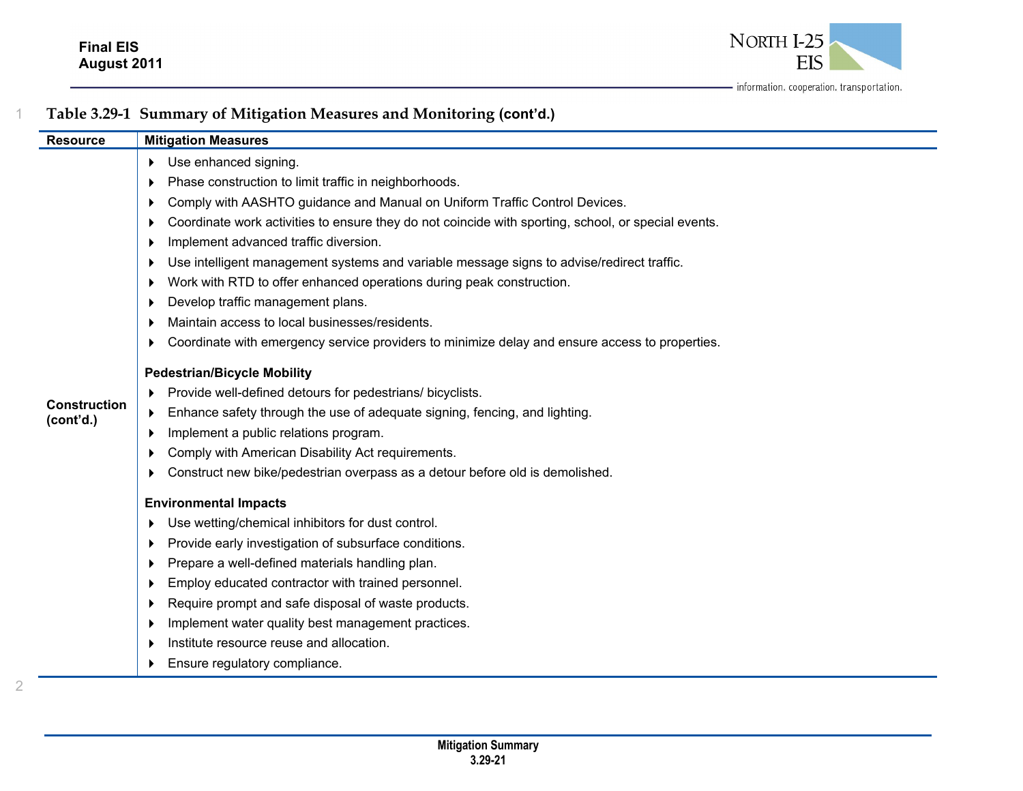

| <b>Resource</b>                  | <b>Mitigation Measures</b>                                                                               |
|----------------------------------|----------------------------------------------------------------------------------------------------------|
|                                  | Use enhanced signing.<br>Þ.                                                                              |
|                                  | Phase construction to limit traffic in neighborhoods.                                                    |
|                                  | Comply with AASHTO guidance and Manual on Uniform Traffic Control Devices.                               |
|                                  | Coordinate work activities to ensure they do not coincide with sporting, school, or special events.<br>▸ |
|                                  | Implement advanced traffic diversion.<br>▶                                                               |
|                                  | Use intelligent management systems and variable message signs to advise/redirect traffic.                |
|                                  | Work with RTD to offer enhanced operations during peak construction.<br>▶                                |
|                                  | Develop traffic management plans.                                                                        |
|                                  | Maintain access to local businesses/residents.                                                           |
|                                  | Coordinate with emergency service providers to minimize delay and ensure access to properties.<br>Þ.     |
|                                  | <b>Pedestrian/Bicycle Mobility</b>                                                                       |
|                                  | Provide well-defined detours for pedestrians/ bicyclists.                                                |
| <b>Construction</b><br>(cont'd.) | Enhance safety through the use of adequate signing, fencing, and lighting.<br>▶                          |
|                                  | Implement a public relations program.                                                                    |
|                                  | Comply with American Disability Act requirements.                                                        |
|                                  | Construct new bike/pedestrian overpass as a detour before old is demolished.<br>▶                        |
|                                  | <b>Environmental Impacts</b>                                                                             |
|                                  | Use wetting/chemical inhibitors for dust control.<br>▶                                                   |
|                                  | Provide early investigation of subsurface conditions.                                                    |
|                                  | Prepare a well-defined materials handling plan.<br>▶                                                     |
|                                  | Employ educated contractor with trained personnel.<br>▶                                                  |
|                                  | Require prompt and safe disposal of waste products.                                                      |
|                                  | Implement water quality best management practices.<br>▶                                                  |
|                                  | Institute resource reuse and allocation.                                                                 |
|                                  | Ensure regulatory compliance.                                                                            |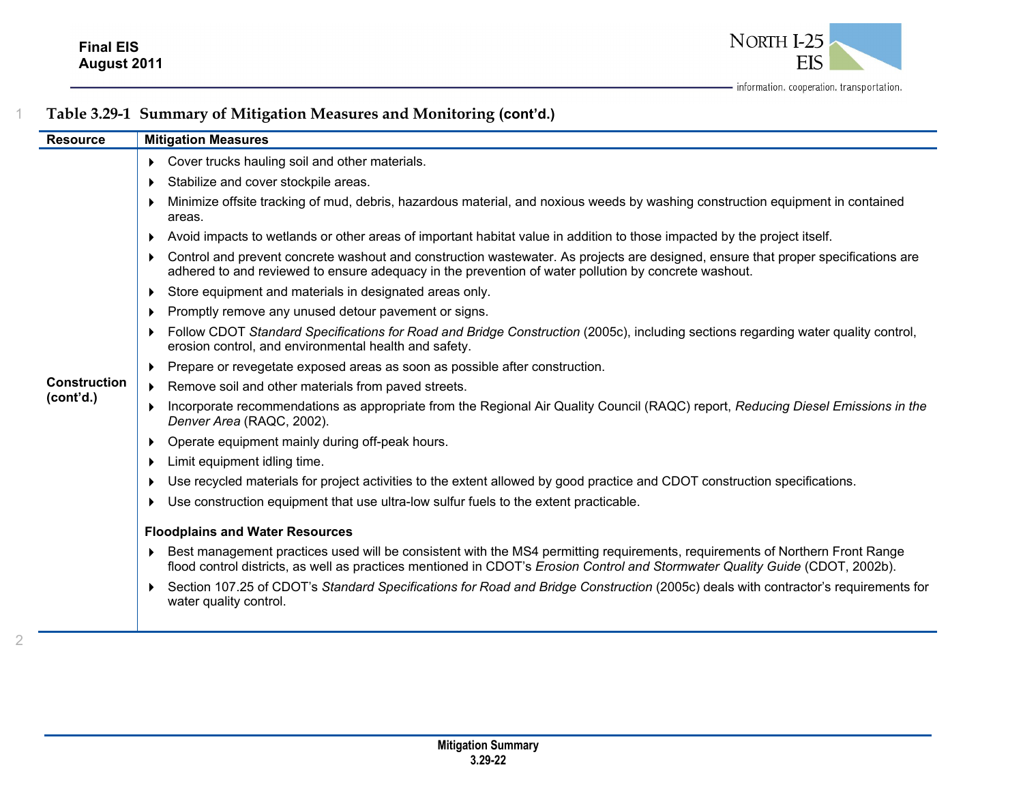

| <b>Resource</b>     | <b>Mitigation Measures</b>                                                                                                                                                                                                                                    |
|---------------------|---------------------------------------------------------------------------------------------------------------------------------------------------------------------------------------------------------------------------------------------------------------|
|                     | • Cover trucks hauling soil and other materials.                                                                                                                                                                                                              |
|                     | Stabilize and cover stockpile areas.                                                                                                                                                                                                                          |
|                     | Minimize offsite tracking of mud, debris, hazardous material, and noxious weeds by washing construction equipment in contained<br>areas.                                                                                                                      |
|                     | Avoid impacts to wetlands or other areas of important habitat value in addition to those impacted by the project itself.                                                                                                                                      |
|                     | Control and prevent concrete washout and construction wastewater. As projects are designed, ensure that proper specifications are<br>adhered to and reviewed to ensure adequacy in the prevention of water pollution by concrete washout.                     |
|                     | Store equipment and materials in designated areas only.                                                                                                                                                                                                       |
|                     | Promptly remove any unused detour pavement or signs.                                                                                                                                                                                                          |
|                     | Follow CDOT Standard Specifications for Road and Bridge Construction (2005c), including sections regarding water quality control,<br>erosion control, and environmental health and safety.                                                                    |
|                     | Prepare or revegetate exposed areas as soon as possible after construction.                                                                                                                                                                                   |
| <b>Construction</b> | Remove soil and other materials from paved streets.                                                                                                                                                                                                           |
| (cont'd.)           | Incorporate recommendations as appropriate from the Regional Air Quality Council (RAQC) report, Reducing Diesel Emissions in the<br>Denver Area (RAQC, 2002).                                                                                                 |
|                     | Operate equipment mainly during off-peak hours.                                                                                                                                                                                                               |
|                     | Limit equipment idling time.                                                                                                                                                                                                                                  |
|                     | Use recycled materials for project activities to the extent allowed by good practice and CDOT construction specifications.                                                                                                                                    |
|                     | Use construction equipment that use ultra-low sulfur fuels to the extent practicable.                                                                                                                                                                         |
|                     | <b>Floodplains and Water Resources</b>                                                                                                                                                                                                                        |
|                     | Best management practices used will be consistent with the MS4 permitting requirements, requirements of Northern Front Range<br>flood control districts, as well as practices mentioned in CDOT's Erosion Control and Stormwater Quality Guide (CDOT, 2002b). |
|                     | Section 107.25 of CDOT's Standard Specifications for Road and Bridge Construction (2005c) deals with contractor's requirements for<br>water quality control.                                                                                                  |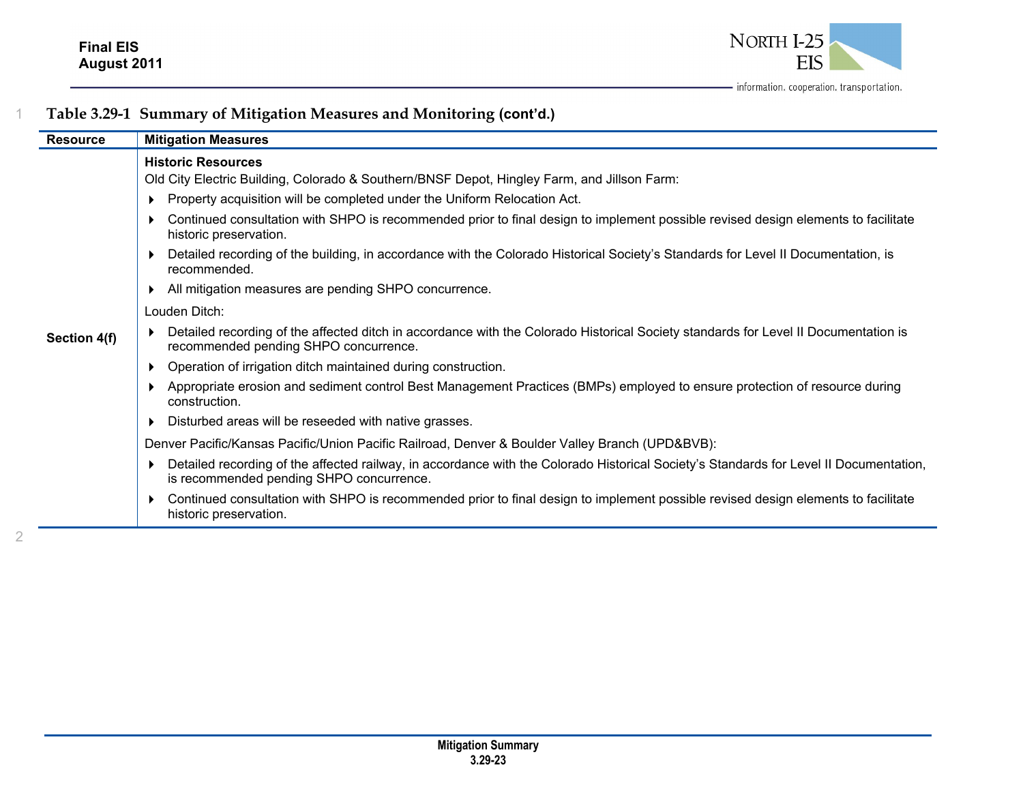

| <b>Resource</b> | <b>Mitigation Measures</b>                                                                                                                                                         |
|-----------------|------------------------------------------------------------------------------------------------------------------------------------------------------------------------------------|
|                 | <b>Historic Resources</b><br>Old City Electric Building, Colorado & Southern/BNSF Depot, Hingley Farm, and Jillson Farm:                                                           |
|                 | Property acquisition will be completed under the Uniform Relocation Act.                                                                                                           |
|                 | Continued consultation with SHPO is recommended prior to final design to implement possible revised design elements to facilitate<br>historic preservation.                        |
|                 | Detailed recording of the building, in accordance with the Colorado Historical Society's Standards for Level II Documentation, is<br>recommended.                                  |
|                 | All mitigation measures are pending SHPO concurrence.                                                                                                                              |
|                 | Louden Ditch:                                                                                                                                                                      |
| Section 4(f)    | Detailed recording of the affected ditch in accordance with the Colorado Historical Society standards for Level II Documentation is<br>recommended pending SHPO concurrence.       |
|                 | Operation of irrigation ditch maintained during construction.                                                                                                                      |
|                 | Appropriate erosion and sediment control Best Management Practices (BMPs) employed to ensure protection of resource during<br>construction.                                        |
|                 | Disturbed areas will be reseeded with native grasses.                                                                                                                              |
|                 | Denver Pacific/Kansas Pacific/Union Pacific Railroad, Denver & Boulder Valley Branch (UPD&BVB):                                                                                    |
|                 | Detailed recording of the affected railway, in accordance with the Colorado Historical Society's Standards for Level II Documentation,<br>is recommended pending SHPO concurrence. |
|                 | Continued consultation with SHPO is recommended prior to final design to implement possible revised design elements to facilitate<br>historic preservation.                        |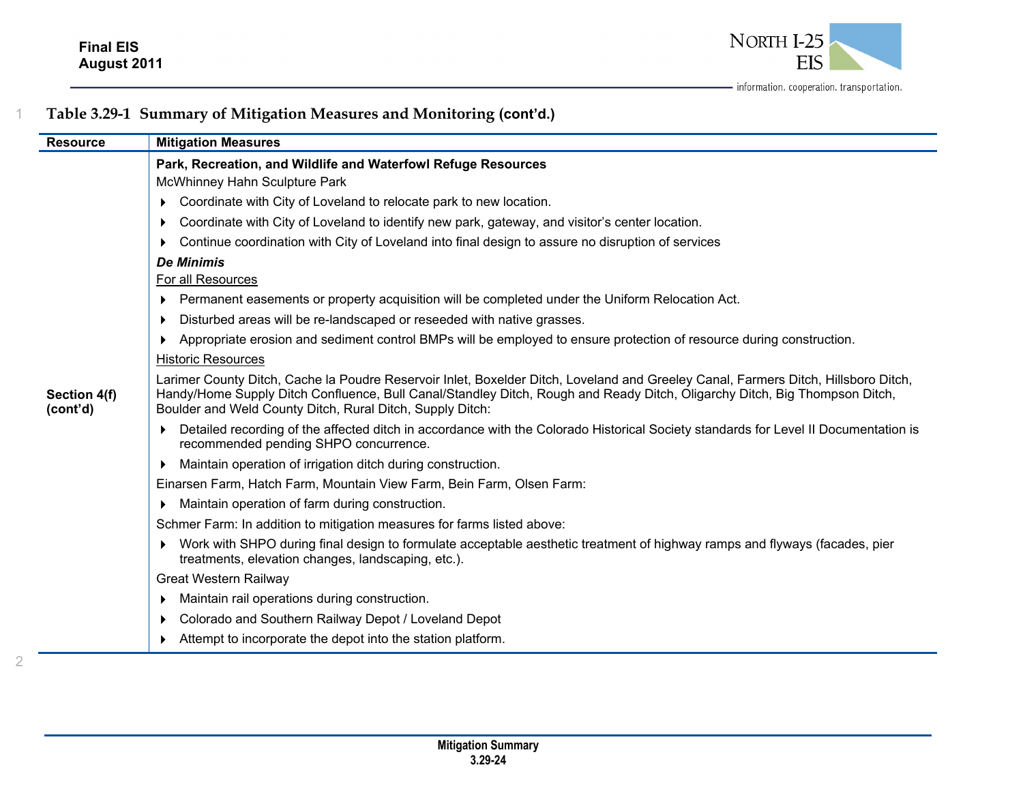

| <b>Resource</b>          | <b>Mitigation Measures</b>                                                                                                                                                                                                                                                                                                    |
|--------------------------|-------------------------------------------------------------------------------------------------------------------------------------------------------------------------------------------------------------------------------------------------------------------------------------------------------------------------------|
|                          | Park, Recreation, and Wildlife and Waterfowl Refuge Resources                                                                                                                                                                                                                                                                 |
|                          | McWhinney Hahn Sculpture Park                                                                                                                                                                                                                                                                                                 |
|                          | Coordinate with City of Loveland to relocate park to new location.                                                                                                                                                                                                                                                            |
|                          | Coordinate with City of Loveland to identify new park, gateway, and visitor's center location.                                                                                                                                                                                                                                |
|                          | Continue coordination with City of Loveland into final design to assure no disruption of services                                                                                                                                                                                                                             |
|                          | <b>De Minimis</b>                                                                                                                                                                                                                                                                                                             |
|                          | For all Resources                                                                                                                                                                                                                                                                                                             |
|                          | Permanent easements or property acquisition will be completed under the Uniform Relocation Act.                                                                                                                                                                                                                               |
|                          | Disturbed areas will be re-landscaped or reseeded with native grasses.<br>▶                                                                                                                                                                                                                                                   |
|                          | Appropriate erosion and sediment control BMPs will be employed to ensure protection of resource during construction.                                                                                                                                                                                                          |
|                          | <b>Historic Resources</b>                                                                                                                                                                                                                                                                                                     |
| Section 4(f)<br>(cont'd) | Larimer County Ditch, Cache la Poudre Reservoir Inlet, Boxelder Ditch, Loveland and Greeley Canal, Farmers Ditch, Hillsboro Ditch,<br>Handy/Home Supply Ditch Confluence, Bull Canal/Standley Ditch, Rough and Ready Ditch, Oligarchy Ditch, Big Thompson Ditch,<br>Boulder and Weld County Ditch, Rural Ditch, Supply Ditch: |
|                          | Detailed recording of the affected ditch in accordance with the Colorado Historical Society standards for Level II Documentation is<br>recommended pending SHPO concurrence.                                                                                                                                                  |
|                          | Maintain operation of irrigation ditch during construction.<br>▶                                                                                                                                                                                                                                                              |
|                          | Einarsen Farm, Hatch Farm, Mountain View Farm, Bein Farm, Olsen Farm:                                                                                                                                                                                                                                                         |
|                          | Maintain operation of farm during construction.                                                                                                                                                                                                                                                                               |
|                          | Schmer Farm: In addition to mitigation measures for farms listed above:                                                                                                                                                                                                                                                       |
|                          | Work with SHPO during final design to formulate acceptable aesthetic treatment of highway ramps and flyways (facades, pier<br>treatments, elevation changes, landscaping, etc.).                                                                                                                                              |
|                          | Great Western Railway                                                                                                                                                                                                                                                                                                         |
|                          | Maintain rail operations during construction.                                                                                                                                                                                                                                                                                 |
|                          | Colorado and Southern Railway Depot / Loveland Depot<br>▶                                                                                                                                                                                                                                                                     |
|                          | Attempt to incorporate the depot into the station platform.                                                                                                                                                                                                                                                                   |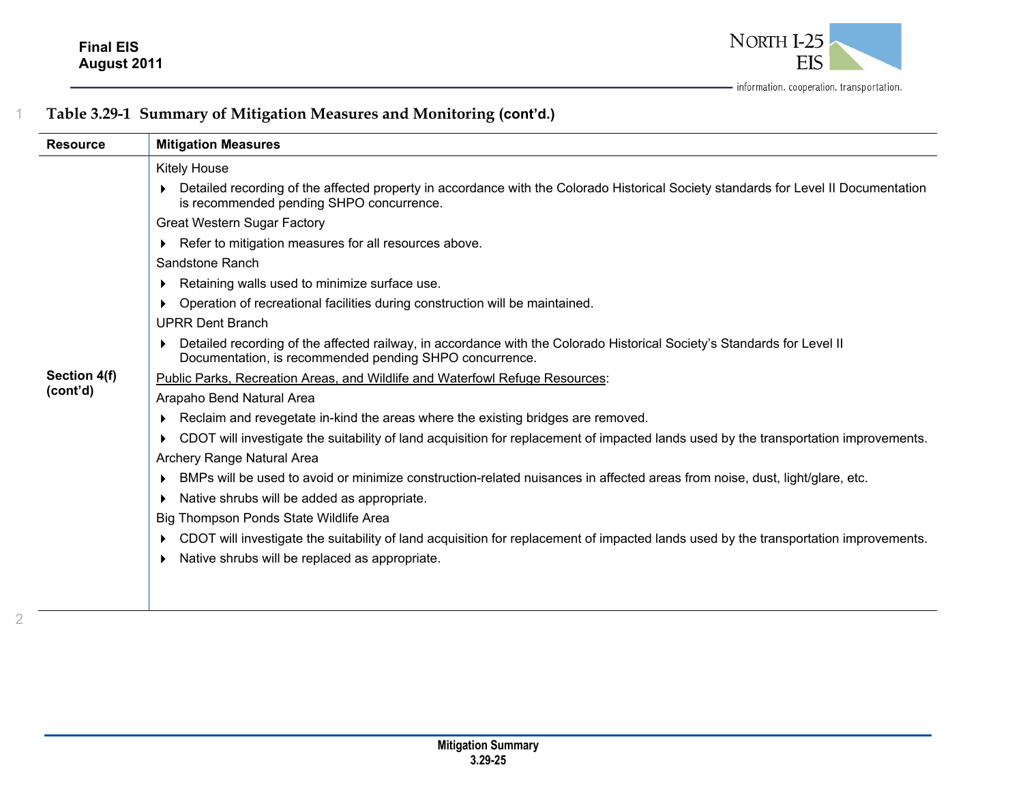

| <b>Resource</b> | <b>Mitigation Measures</b>                                                                                                                                                              |
|-----------------|-----------------------------------------------------------------------------------------------------------------------------------------------------------------------------------------|
|                 | Kitely House                                                                                                                                                                            |
|                 | Detailed recording of the affected property in accordance with the Colorado Historical Society standards for Level II Documentation<br>is recommended pending SHPO concurrence.         |
|                 | <b>Great Western Sugar Factory</b>                                                                                                                                                      |
|                 | Refer to mitigation measures for all resources above.<br>▶                                                                                                                              |
|                 | Sandstone Ranch                                                                                                                                                                         |
|                 | Retaining walls used to minimize surface use.                                                                                                                                           |
|                 | Operation of recreational facilities during construction will be maintained.<br>▶                                                                                                       |
|                 | <b>UPRR Dent Branch</b>                                                                                                                                                                 |
|                 | Detailed recording of the affected railway, in accordance with the Colorado Historical Society's Standards for Level II<br>▶<br>Documentation, is recommended pending SHPO concurrence. |
| Section 4(f)    | Public Parks, Recreation Areas, and Wildlife and Waterfowl Refuge Resources:                                                                                                            |
| (cont'd)        | Arapaho Bend Natural Area                                                                                                                                                               |
|                 | Reclaim and revegetate in-kind the areas where the existing bridges are removed.                                                                                                        |
|                 | CDOT will investigate the suitability of land acquisition for replacement of impacted lands used by the transportation improvements.<br>▶                                               |
|                 | Archery Range Natural Area                                                                                                                                                              |
|                 | BMPs will be used to avoid or minimize construction-related nuisances in affected areas from noise, dust, light/glare, etc.                                                             |
|                 | Native shrubs will be added as appropriate.<br>▶                                                                                                                                        |
|                 | Big Thompson Ponds State Wildlife Area                                                                                                                                                  |
|                 | CDOT will investigate the suitability of land acquisition for replacement of impacted lands used by the transportation improvements.<br>▶                                               |
|                 | Native shrubs will be replaced as appropriate.                                                                                                                                          |
|                 |                                                                                                                                                                                         |
|                 |                                                                                                                                                                                         |